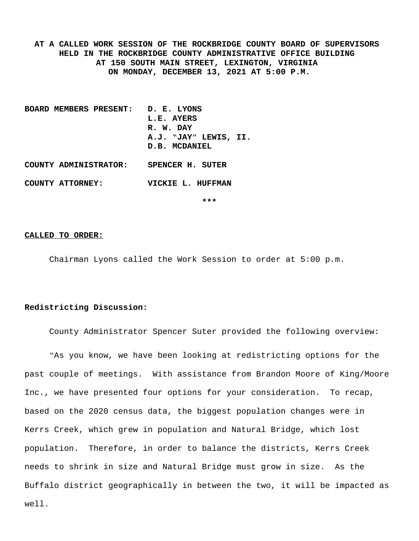**AT A CALLED WORK SESSION OF THE ROCKBRIDGE COUNTY BOARD OF SUPERVISORS HELD IN THE ROCKBRIDGE COUNTY ADMINISTRATIVE OFFICE BUILDING AT 150 SOUTH MAIN STREET, LEXINGTON, VIRGINIA ON MONDAY, DECEMBER 13, 2021 AT 5:00 P.M.**

- **BOARD MEMBERS PRESENT: D. E. LYONS L.E. AYERS R. W. DAY A.J. "JAY" LEWIS, II. D.B. MCDANIEL COUNTY ADMINISTRATOR: SPENCER H. SUTER**
- **COUNTY ATTORNEY: VICKIE L. HUFFMAN**

**\*\*\***

#### **CALLED TO ORDER:**

Chairman Lyons called the Work Session to order at 5:00 p.m.

#### **Redistricting Discussion:**

County Administrator Spencer Suter provided the following overview:

"As you know, we have been looking at redistricting options for the past couple of meetings. With assistance from Brandon Moore of King/Moore Inc., we have presented four options for your consideration. To recap, based on the 2020 census data, the biggest population changes were in Kerrs Creek, which grew in population and Natural Bridge, which lost population. Therefore, in order to balance the districts, Kerrs Creek needs to shrink in size and Natural Bridge must grow in size. As the Buffalo district geographically in between the two, it will be impacted as well.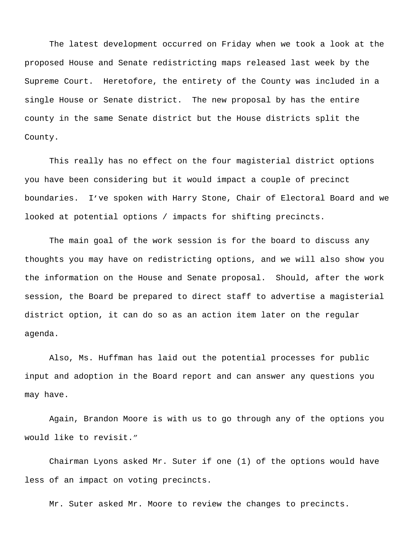The latest development occurred on Friday when we took a look at the proposed House and Senate redistricting maps released last week by the Supreme Court. Heretofore, the entirety of the County was included in a single House or Senate district. The new proposal by has the entire county in the same Senate district but the House districts split the County.

This really has no effect on the four magisterial district options you have been considering but it would impact a couple of precinct boundaries. I've spoken with Harry Stone, Chair of Electoral Board and we looked at potential options / impacts for shifting precincts.

The main goal of the work session is for the board to discuss any thoughts you may have on redistricting options, and we will also show you the information on the House and Senate proposal. Should, after the work session, the Board be prepared to direct staff to advertise a magisterial district option, it can do so as an action item later on the regular agenda.

Also, Ms. Huffman has laid out the potential processes for public input and adoption in the Board report and can answer any questions you may have.

Again, Brandon Moore is with us to go through any of the options you would like to revisit."

Chairman Lyons asked Mr. Suter if one (1) of the options would have less of an impact on voting precincts.

Mr. Suter asked Mr. Moore to review the changes to precincts.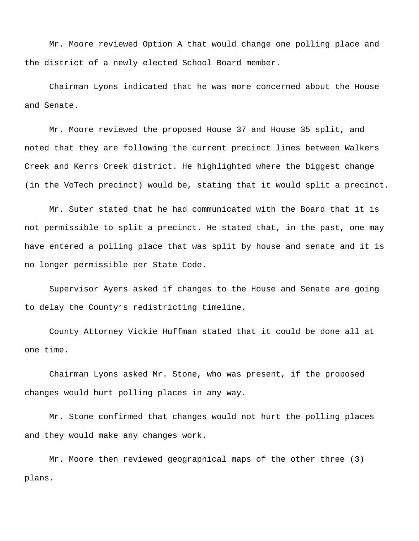Mr. Moore reviewed Option A that would change one polling place and the district of a newly elected School Board member.

Chairman Lyons indicated that he was more concerned about the House and Senate.

Mr. Moore reviewed the proposed House 37 and House 35 split, and noted that they are following the current precinct lines between Walkers Creek and Kerrs Creek district. He highlighted where the biggest change (in the VoTech precinct) would be, stating that it would split a precinct.

Mr. Suter stated that he had communicated with the Board that it is not permissible to split a precinct. He stated that, in the past, one may have entered a polling place that was split by house and senate and it is no longer permissible per State Code.

Supervisor Ayers asked if changes to the House and Senate are going to delay the County's redistricting timeline.

County Attorney Vickie Huffman stated that it could be done all at one time.

Chairman Lyons asked Mr. Stone, who was present, if the proposed changes would hurt polling places in any way.

Mr. Stone confirmed that changes would not hurt the polling places and they would make any changes work.

Mr. Moore then reviewed geographical maps of the other three (3) plans.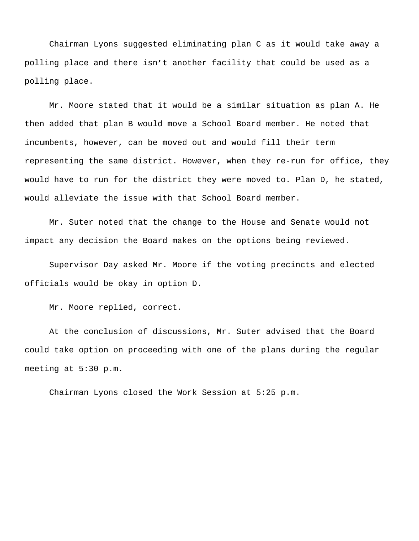Chairman Lyons suggested eliminating plan C as it would take away a polling place and there isn't another facility that could be used as a polling place.

Mr. Moore stated that it would be a similar situation as plan A. He then added that plan B would move a School Board member. He noted that incumbents, however, can be moved out and would fill their term representing the same district. However, when they re-run for office, they would have to run for the district they were moved to. Plan D, he stated, would alleviate the issue with that School Board member.

Mr. Suter noted that the change to the House and Senate would not impact any decision the Board makes on the options being reviewed.

Supervisor Day asked Mr. Moore if the voting precincts and elected officials would be okay in option D.

Mr. Moore replied, correct.

At the conclusion of discussions, Mr. Suter advised that the Board could take option on proceeding with one of the plans during the regular meeting at 5:30 p.m.

Chairman Lyons closed the Work Session at 5:25 p.m.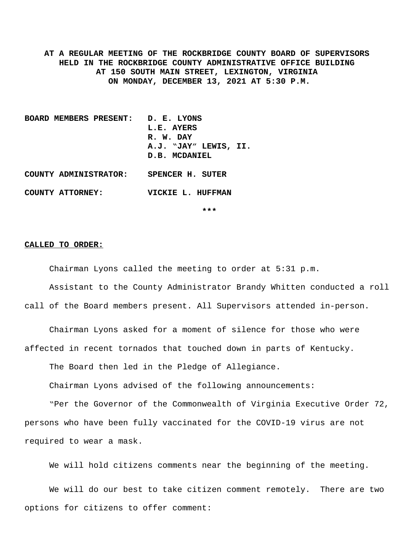**AT A REGULAR MEETING OF THE ROCKBRIDGE COUNTY BOARD OF SUPERVISORS HELD IN THE ROCKBRIDGE COUNTY ADMINISTRATIVE OFFICE BUILDING AT 150 SOUTH MAIN STREET, LEXINGTON, VIRGINIA ON MONDAY, DECEMBER 13, 2021 AT 5:30 P.M.**

- **BOARD MEMBERS PRESENT: D. E. LYONS L.E. AYERS R. W. DAY A.J. "JAY" LEWIS, II. D.B. MCDANIEL COUNTY ADMINISTRATOR: SPENCER H. SUTER**
- **COUNTY ATTORNEY: VICKIE L. HUFFMAN**

**\*\*\***

#### **CALLED TO ORDER:**

Chairman Lyons called the meeting to order at 5:31 p.m.

Assistant to the County Administrator Brandy Whitten conducted a roll call of the Board members present. All Supervisors attended in-person.

Chairman Lyons asked for a moment of silence for those who were affected in recent tornados that touched down in parts of Kentucky.

The Board then led in the Pledge of Allegiance.

Chairman Lyons advised of the following announcements:

"Per the Governor of the Commonwealth of Virginia Executive Order 72, persons who have been fully vaccinated for the COVID-19 virus are not required to wear a mask.

We will hold citizens comments near the beginning of the meeting.

We will do our best to take citizen comment remotely. There are two options for citizens to offer comment: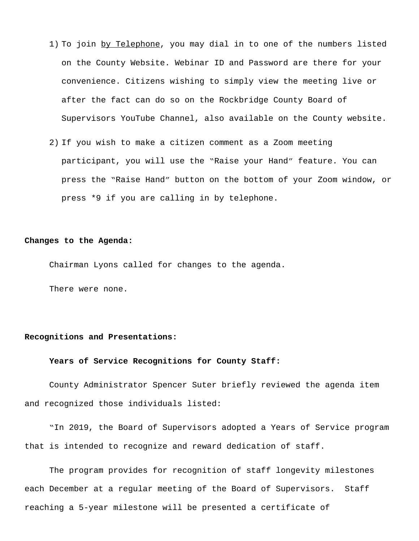- 1) To join by Telephone, you may dial in to one of the numbers listed on the County Website. Webinar ID and Password are there for your convenience. Citizens wishing to simply view the meeting live or after the fact can do so on the Rockbridge County Board of Supervisors YouTube Channel, also available on the County website.
- 2) If you wish to make a citizen comment as a Zoom meeting participant, you will use the "Raise your Hand" feature. You can press the "Raise Hand" button on the bottom of your Zoom window, or press \*9 if you are calling in by telephone.

#### **Changes to the Agenda:**

Chairman Lyons called for changes to the agenda.

There were none.

#### **Recognitions and Presentations:**

#### **Years of Service Recognitions for County Staff:**

County Administrator Spencer Suter briefly reviewed the agenda item and recognized those individuals listed:

"In 2019, the Board of Supervisors adopted a Years of Service program that is intended to recognize and reward dedication of staff.

The program provides for recognition of staff longevity milestones each December at a regular meeting of the Board of Supervisors. Staff reaching a 5-year milestone will be presented a certificate of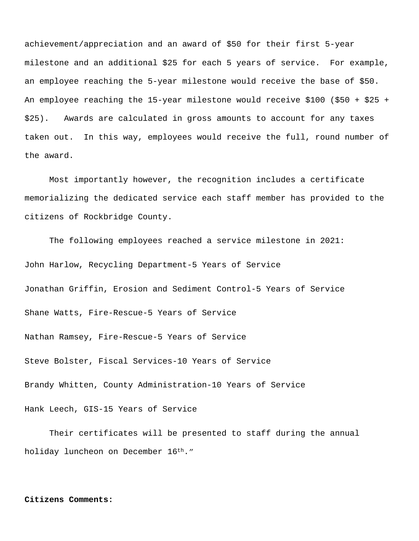achievement/appreciation and an award of \$50 for their first 5-year milestone and an additional \$25 for each 5 years of service. For example, an employee reaching the 5-year milestone would receive the base of \$50. An employee reaching the 15-year milestone would receive \$100 (\$50 + \$25 + \$25). Awards are calculated in gross amounts to account for any taxes taken out. In this way, employees would receive the full, round number of the award.

Most importantly however, the recognition includes a certificate memorializing the dedicated service each staff member has provided to the citizens of Rockbridge County.

The following employees reached a service milestone in 2021: John Harlow, Recycling Department-5 Years of Service Jonathan Griffin, Erosion and Sediment Control-5 Years of Service Shane Watts, Fire-Rescue-5 Years of Service Nathan Ramsey, Fire-Rescue-5 Years of Service Steve Bolster, Fiscal Services-10 Years of Service Brandy Whitten, County Administration-10 Years of Service Hank Leech, GIS-15 Years of Service

Their certificates will be presented to staff during the annual holiday luncheon on December 16<sup>th</sup>."

#### **Citizens Comments:**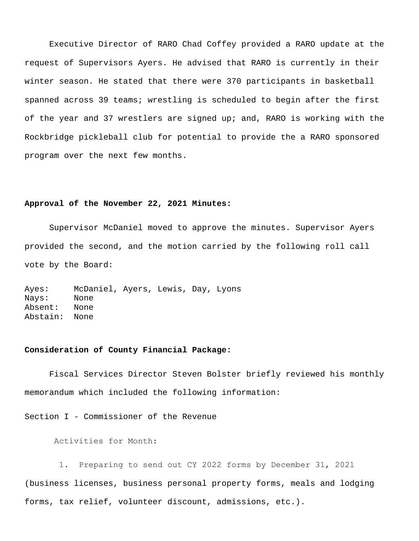Executive Director of RARO Chad Coffey provided a RARO update at the request of Supervisors Ayers. He advised that RARO is currently in their winter season. He stated that there were 370 participants in basketball spanned across 39 teams; wrestling is scheduled to begin after the first of the year and 37 wrestlers are signed up; and, RARO is working with the Rockbridge pickleball club for potential to provide the a RARO sponsored program over the next few months.

#### **Approval of the November 22, 2021 Minutes:**

Supervisor McDaniel moved to approve the minutes. Supervisor Ayers provided the second, and the motion carried by the following roll call vote by the Board:

Ayes: McDaniel, Ayers, Lewis, Day, Lyons Nays: None Absent: None Abstain: None

#### **Consideration of County Financial Package:**

Fiscal Services Director Steven Bolster briefly reviewed his monthly memorandum which included the following information:

Section I - Commissioner of the Revenue

Activities for Month:

 1. Preparing to send out CY 2022 forms by December 31, 2021 (business licenses, business personal property forms, meals and lodging forms, tax relief, volunteer discount, admissions, etc.).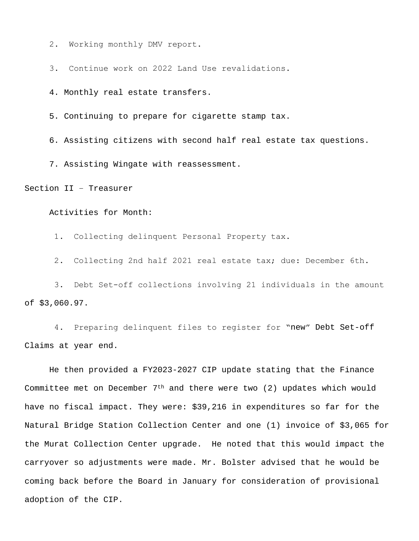2. Working monthly DMV report.

3. Continue work on 2022 Land Use revalidations.

4. Monthly real estate transfers.

5. Continuing to prepare for cigarette stamp tax.

6. Assisting citizens with second half real estate tax questions.

7. Assisting Wingate with reassessment.

Section II – Treasurer

Activities for Month:

1. Collecting delinquent Personal Property tax.

2. Collecting 2nd half 2021 real estate tax; due: December 6th.

 3. Debt Set-off collections involving 21 individuals in the amount of \$3,060.97.

 4. Preparing delinquent files to register for "new" Debt Set-off Claims at year end.

He then provided a FY2023-2027 CIP update stating that the Finance Committee met on December  $7<sup>th</sup>$  and there were two (2) updates which would have no fiscal impact. They were: \$39,216 in expenditures so far for the Natural Bridge Station Collection Center and one (1) invoice of \$3,065 for the Murat Collection Center upgrade. He noted that this would impact the carryover so adjustments were made. Mr. Bolster advised that he would be coming back before the Board in January for consideration of provisional adoption of the CIP.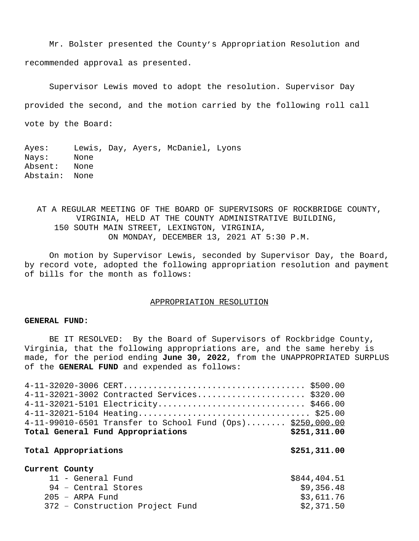Mr. Bolster presented the County's Appropriation Resolution and recommended approval as presented.

Supervisor Lewis moved to adopt the resolution. Supervisor Day provided the second, and the motion carried by the following roll call vote by the Board:

Ayes: Lewis, Day, Ayers, McDaniel, Lyons Nays: None Absent: None Abstain: None

AT A REGULAR MEETING OF THE BOARD OF SUPERVISORS OF ROCKBRIDGE COUNTY, VIRGINIA, HELD AT THE COUNTY ADMINISTRATIVE BUILDING, 150 SOUTH MAIN STREET, LEXINGTON, VIRGINIA, ON MONDAY, DECEMBER 13, 2021 AT 5:30 P.M.

On motion by Supervisor Lewis, seconded by Supervisor Day, the Board, by record vote, adopted the following appropriation resolution and payment of bills for the month as follows:

#### APPROPRIATION RESOLUTION

#### **GENERAL FUND:**

BE IT RESOLVED: By the Board of Supervisors of Rockbridge County, Virginia, that the following appropriations are, and the same hereby is made, for the period ending **June 30, 2022**, from the UNAPPROPRIATED SURPLUS of the **GENERAL FUND** and expended as follows:

| 4-11-32021-3002 Contracted Services \$320.00               |              |
|------------------------------------------------------------|--------------|
|                                                            |              |
|                                                            |              |
| 4-11-99010-6501 Transfer to School Fund (Ops) \$250,000.00 |              |
| Total General Fund Appropriations                          | \$251,311.00 |
|                                                            |              |
| Total Appropriations                                       | \$251,311.00 |
|                                                            |              |
| Current County                                             |              |
| 11 - General Fund                                          | \$844,404.51 |
| 94 - Central Stores                                        | \$9,356.48   |
| $205$ - ARPA Fund                                          | \$3,611.76   |
| 372 - Construction Project Fund                            | \$2,371.50   |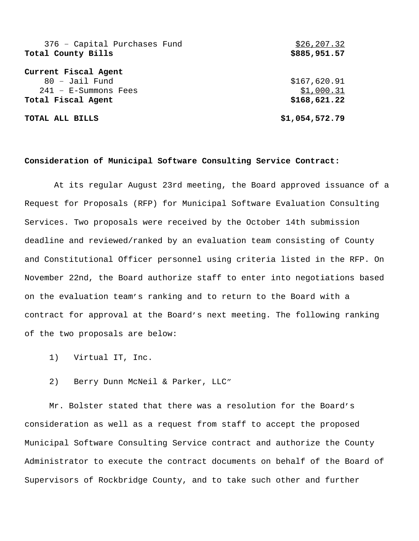| 376 - Capital Purchases Fund | \$26, 207.32   |
|------------------------------|----------------|
| Total County Bills           | \$885,951.57   |
|                              |                |
| Current Fiscal Agent         |                |
| $80 -$ Jail Fund             | \$167,620.91   |
| $241$ - E-Summons Fees       | \$1,000.31     |
| Total Fiscal Agent           | \$168,621.22   |
|                              |                |
| TOTAL ALL BILLS              | \$1,054,572.79 |

#### **Consideration of Municipal Software Consulting Service Contract:**

 At its regular August 23rd meeting, the Board approved issuance of a Request for Proposals (RFP) for Municipal Software Evaluation Consulting Services. Two proposals were received by the October 14th submission deadline and reviewed/ranked by an evaluation team consisting of County and Constitutional Officer personnel using criteria listed in the RFP. On November 22nd, the Board authorize staff to enter into negotiations based on the evaluation team's ranking and to return to the Board with a contract for approval at the Board's next meeting. The following ranking of the two proposals are below:

- 1) Virtual IT, Inc.
- 2) Berry Dunn McNeil & Parker, LLC"

Mr. Bolster stated that there was a resolution for the Board's consideration as well as a request from staff to accept the proposed Municipal Software Consulting Service contract and authorize the County Administrator to execute the contract documents on behalf of the Board of Supervisors of Rockbridge County, and to take such other and further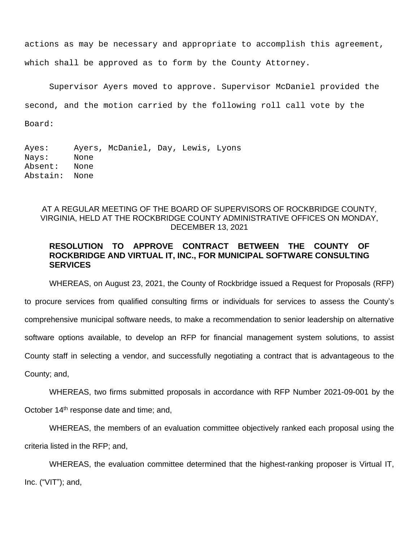actions as may be necessary and appropriate to accomplish this agreement, which shall be approved as to form by the County Attorney.

Supervisor Ayers moved to approve. Supervisor McDaniel provided the second, and the motion carried by the following roll call vote by the Board:

Ayes: Ayers, McDaniel, Day, Lewis, Lyons Nays: None Absent: None Abstain: None

## AT A REGULAR MEETING OF THE BOARD OF SUPERVISORS OF ROCKBRIDGE COUNTY, VIRGINIA, HELD AT THE ROCKBRIDGE COUNTY ADMINISTRATIVE OFFICES ON MONDAY, DECEMBER 13, 2021

## **RESOLUTION TO APPROVE CONTRACT BETWEEN THE COUNTY OF ROCKBRIDGE AND VIRTUAL IT, INC., FOR MUNICIPAL SOFTWARE CONSULTING SERVICES**

WHEREAS, on August 23, 2021, the County of Rockbridge issued a Request for Proposals (RFP) to procure services from qualified consulting firms or individuals for services to assess the County's comprehensive municipal software needs, to make a recommendation to senior leadership on alternative software options available, to develop an RFP for financial management system solutions, to assist County staff in selecting a vendor, and successfully negotiating a contract that is advantageous to the County; and,

WHEREAS, two firms submitted proposals in accordance with RFP Number 2021-09-001 by the October 14th response date and time; and,

WHEREAS, the members of an evaluation committee objectively ranked each proposal using the criteria listed in the RFP; and,

WHEREAS, the evaluation committee determined that the highest-ranking proposer is Virtual IT, Inc. ("VIT"); and,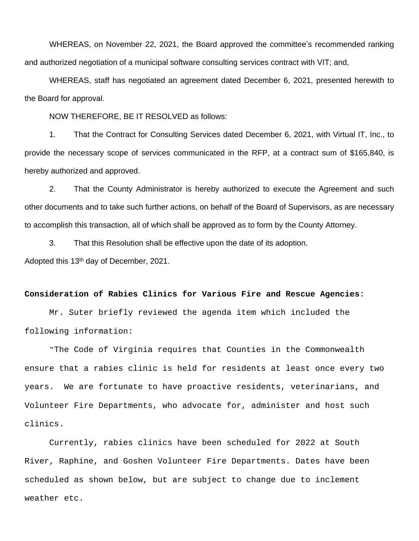WHEREAS, on November 22, 2021, the Board approved the committee's recommended ranking and authorized negotiation of a municipal software consulting services contract with VIT; and,

WHEREAS, staff has negotiated an agreement dated December 6, 2021, presented herewith to the Board for approval.

NOW THEREFORE, BE IT RESOLVED as follows:

1. That the Contract for Consulting Services dated December 6, 2021, with Virtual IT, Inc., to provide the necessary scope of services communicated in the RFP, at a contract sum of \$165,840, is hereby authorized and approved.

2. That the County Administrator is hereby authorized to execute the Agreement and such other documents and to take such further actions, on behalf of the Board of Supervisors, as are necessary to accomplish this transaction, all of which shall be approved as to form by the County Attorney.

3. That this Resolution shall be effective upon the date of its adoption. Adopted this 13th day of December, 2021.

#### **Consideration of Rabies Clinics for Various Fire and Rescue Agencies**:

Mr. Suter briefly reviewed the agenda item which included the following information:

"The Code of Virginia requires that Counties in the Commonwealth ensure that a rabies clinic is held for residents at least once every two years. We are fortunate to have proactive residents, veterinarians, and Volunteer Fire Departments, who advocate for, administer and host such clinics.

Currently, rabies clinics have been scheduled for 2022 at South River, Raphine, and Goshen Volunteer Fire Departments. Dates have been scheduled as shown below, but are subject to change due to inclement weather etc.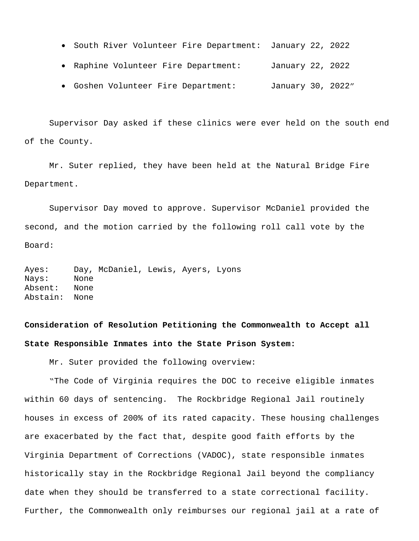- South River Volunteer Fire Department: January 22, 2022
- Raphine Volunteer Fire Department: January 22, 2022
- Goshen Volunteer Fire Department: January 30, 2022"

Supervisor Day asked if these clinics were ever held on the south end of the County.

Mr. Suter replied, they have been held at the Natural Bridge Fire Department.

Supervisor Day moved to approve. Supervisor McDaniel provided the second, and the motion carried by the following roll call vote by the Board:

Ayes: Day, McDaniel, Lewis, Ayers, Lyons Nays: None Absent: None Abstain: None

# **Consideration of Resolution Petitioning the Commonwealth to Accept all State Responsible Inmates into the State Prison System:**

Mr. Suter provided the following overview:

"The Code of Virginia requires the DOC to receive eligible inmates within 60 days of sentencing. The Rockbridge Regional Jail routinely houses in excess of 200% of its rated capacity. These housing challenges are exacerbated by the fact that, despite good faith efforts by the Virginia Department of Corrections (VADOC), state responsible inmates historically stay in the Rockbridge Regional Jail beyond the compliancy date when they should be transferred to a state correctional facility. Further, the Commonwealth only reimburses our regional jail at a rate of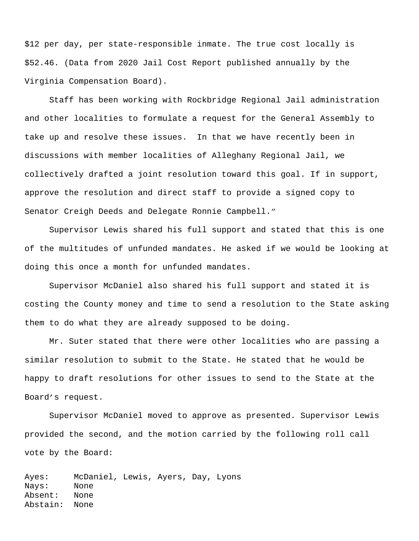\$12 per day, per state-responsible inmate. The true cost locally is \$52.46. (Data from 2020 Jail Cost Report published annually by the Virginia Compensation Board).

Staff has been working with Rockbridge Regional Jail administration and other localities to formulate a request for the General Assembly to take up and resolve these issues. In that we have recently been in discussions with member localities of Alleghany Regional Jail, we collectively drafted a joint resolution toward this goal. If in support, approve the resolution and direct staff to provide a signed copy to Senator Creigh Deeds and Delegate Ronnie Campbell."

Supervisor Lewis shared his full support and stated that this is one of the multitudes of unfunded mandates. He asked if we would be looking at doing this once a month for unfunded mandates.

Supervisor McDaniel also shared his full support and stated it is costing the County money and time to send a resolution to the State asking them to do what they are already supposed to be doing.

Mr. Suter stated that there were other localities who are passing a similar resolution to submit to the State. He stated that he would be happy to draft resolutions for other issues to send to the State at the Board's request.

Supervisor McDaniel moved to approve as presented. Supervisor Lewis provided the second, and the motion carried by the following roll call vote by the Board:

Ayes: McDaniel, Lewis, Ayers, Day, Lyons Nays: None Absent: None Abstain: None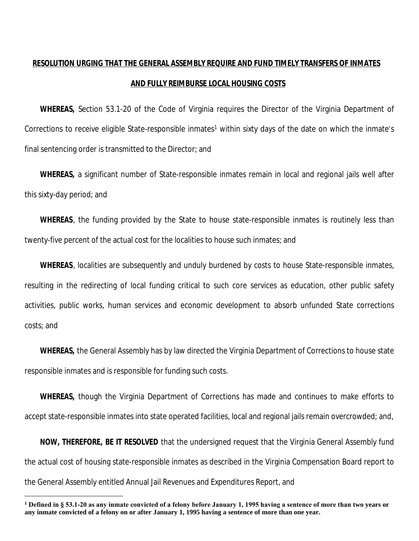# **RESOLUTION URGING THAT THE GENERAL ASSEMBLY REQUIRE AND FUND TIMELY TRANSFERS OF INMATES AND FULLY REIMBURSE LOCAL HOUSING COSTS**

**WHEREAS,** Section 53.1-20 of the Code of Virginia requires the Director of the Virginia Department of Corrections to receive eligible State-responsible inmates<sup>1</sup> within sixty days of the date on which the inmate's final sentencing order is transmitted to the Director; and

**WHEREAS,** a significant number of State-responsible inmates remain in local and regional jails well after this sixty-day period; and

**WHEREAS**, the funding provided by the State to house state-responsible inmates is routinely less than twenty-five percent of the actual cost for the localities to house such inmates; and

**WHEREAS**, localities are subsequently and unduly burdened by costs to house State-responsible inmates, resulting in the redirecting of local funding critical to such core services as education, other public safety activities, public works, human services and economic development to absorb unfunded State corrections costs; and

**WHEREAS,** the General Assembly has by law directed the Virginia Department of Corrections to house state responsible inmates and is responsible for funding such costs.

**WHEREAS,** though the Virginia Department of Corrections has made and continues to make efforts to accept state-responsible inmates into state operated facilities, local and regional jails remain overcrowded; and,

**NOW, THEREFORE, BE IT RESOLVED** that the undersigned request that the Virginia General Assembly fund the actual cost of housing state-responsible inmates as described in the Virginia Compensation Board report to the General Assembly entitled Annual Jail Revenues and Expenditures Report, and

**<sup>1</sup> Defined in § 53.1-20 as any inmate convicted of a felony before January 1, 1995 having a sentence of more than two years or any inmate convicted of a felony on or after January 1, 1995 having a sentence of more than one year.**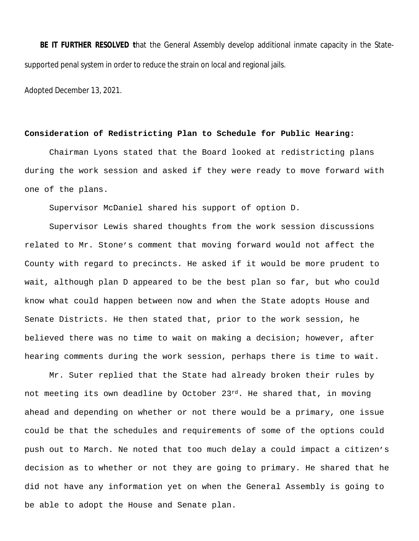**BE IT FURTHER RESOLVED t**hat the General Assembly develop additional inmate capacity in the Statesupported penal system in order to reduce the strain on local and regional jails.

Adopted December 13, 2021.

#### **Consideration of Redistricting Plan to Schedule for Public Hearing:**

Chairman Lyons stated that the Board looked at redistricting plans during the work session and asked if they were ready to move forward with one of the plans.

Supervisor McDaniel shared his support of option D.

Supervisor Lewis shared thoughts from the work session discussions related to Mr. Stone's comment that moving forward would not affect the County with regard to precincts. He asked if it would be more prudent to wait, although plan D appeared to be the best plan so far, but who could know what could happen between now and when the State adopts House and Senate Districts. He then stated that, prior to the work session, he believed there was no time to wait on making a decision; however, after hearing comments during the work session, perhaps there is time to wait.

Mr. Suter replied that the State had already broken their rules by not meeting its own deadline by October 23rd. He shared that, in moving ahead and depending on whether or not there would be a primary, one issue could be that the schedules and requirements of some of the options could push out to March. Ne noted that too much delay a could impact a citizen's decision as to whether or not they are going to primary. He shared that he did not have any information yet on when the General Assembly is going to be able to adopt the House and Senate plan.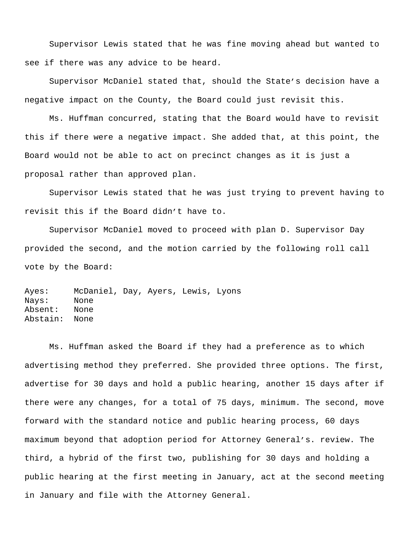Supervisor Lewis stated that he was fine moving ahead but wanted to see if there was any advice to be heard.

Supervisor McDaniel stated that, should the State's decision have a negative impact on the County, the Board could just revisit this.

Ms. Huffman concurred, stating that the Board would have to revisit this if there were a negative impact. She added that, at this point, the Board would not be able to act on precinct changes as it is just a proposal rather than approved plan.

Supervisor Lewis stated that he was just trying to prevent having to revisit this if the Board didn't have to.

Supervisor McDaniel moved to proceed with plan D. Supervisor Day provided the second, and the motion carried by the following roll call vote by the Board:

Ayes: McDaniel, Day, Ayers, Lewis, Lyons Nays: None Absent: None Abstain: None

Ms. Huffman asked the Board if they had a preference as to which advertising method they preferred. She provided three options. The first, advertise for 30 days and hold a public hearing, another 15 days after if there were any changes, for a total of 75 days, minimum. The second, move forward with the standard notice and public hearing process, 60 days maximum beyond that adoption period for Attorney General's. review. The third, a hybrid of the first two, publishing for 30 days and holding a public hearing at the first meeting in January, act at the second meeting in January and file with the Attorney General.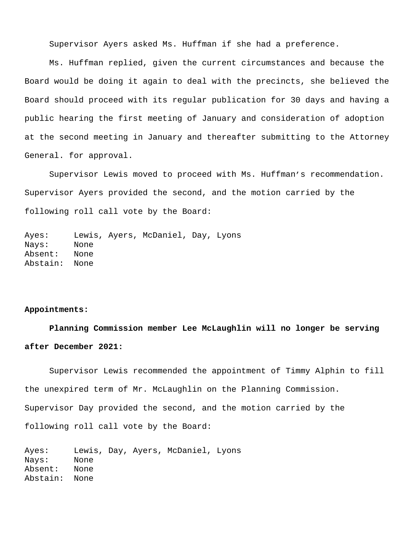Supervisor Ayers asked Ms. Huffman if she had a preference.

Ms. Huffman replied, given the current circumstances and because the Board would be doing it again to deal with the precincts, she believed the Board should proceed with its regular publication for 30 days and having a public hearing the first meeting of January and consideration of adoption at the second meeting in January and thereafter submitting to the Attorney General. for approval.

Supervisor Lewis moved to proceed with Ms. Huffman's recommendation. Supervisor Ayers provided the second, and the motion carried by the following roll call vote by the Board:

Ayes: Lewis, Ayers, McDaniel, Day, Lyons Nays: None Absent: None Abstain: None

#### **Appointments:**

**Planning Commission member Lee McLaughlin will no longer be serving after December 2021:**

Supervisor Lewis recommended the appointment of Timmy Alphin to fill the unexpired term of Mr. McLaughlin on the Planning Commission. Supervisor Day provided the second, and the motion carried by the following roll call vote by the Board:

Ayes: Lewis, Day, Ayers, McDaniel, Lyons Nays: None Absent: None Abstain: None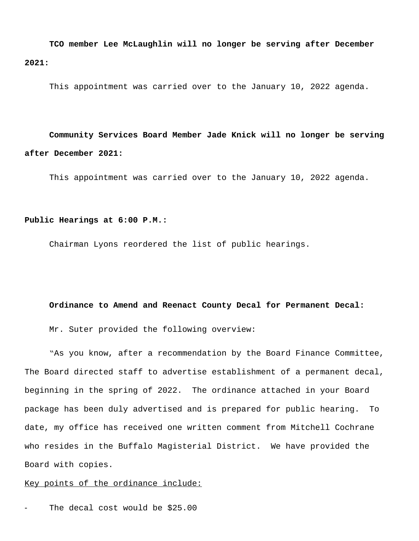**TCO member Lee McLaughlin will no longer be serving after December 2021:**

This appointment was carried over to the January 10, 2022 agenda.

**Community Services Board Member Jade Knick will no longer be serving after December 2021:**

This appointment was carried over to the January 10, 2022 agenda.

#### **Public Hearings at 6:00 P.M.:**

Chairman Lyons reordered the list of public hearings.

#### **Ordinance to Amend and Reenact County Decal for Permanent Decal:**

Mr. Suter provided the following overview:

"As you know, after a recommendation by the Board Finance Committee, The Board directed staff to advertise establishment of a permanent decal, beginning in the spring of 2022. The ordinance attached in your Board package has been duly advertised and is prepared for public hearing. To date, my office has received one written comment from Mitchell Cochrane who resides in the Buffalo Magisterial District. We have provided the Board with copies.

#### Key points of the ordinance include:

The decal cost would be \$25.00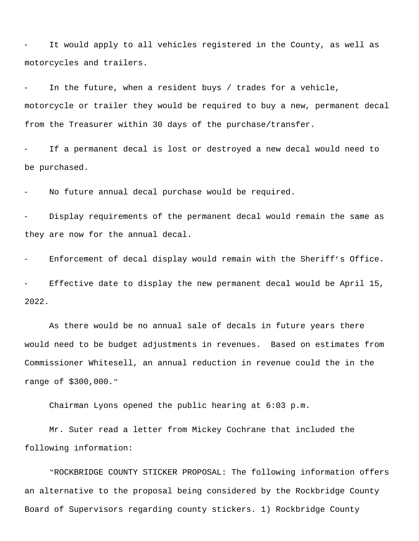It would apply to all vehicles registered in the County, as well as motorcycles and trailers.

In the future, when a resident buys / trades for a vehicle, motorcycle or trailer they would be required to buy a new, permanent decal from the Treasurer within 30 days of the purchase/transfer.

If a permanent decal is lost or destroyed a new decal would need to be purchased.

No future annual decal purchase would be required.

Display requirements of the permanent decal would remain the same as they are now for the annual decal.

Enforcement of decal display would remain with the Sheriff's Office.

Effective date to display the new permanent decal would be April 15, 2022.

As there would be no annual sale of decals in future years there would need to be budget adjustments in revenues. Based on estimates from Commissioner Whitesell, an annual reduction in revenue could the in the range of \$300,000."

Chairman Lyons opened the public hearing at 6:03 p.m.

Mr. Suter read a letter from Mickey Cochrane that included the following information:

"ROCKBRIDGE COUNTY STICKER PROPOSAL: The following information offers an alternative to the proposal being considered by the Rockbridge County Board of Supervisors regarding county stickers. 1) Rockbridge County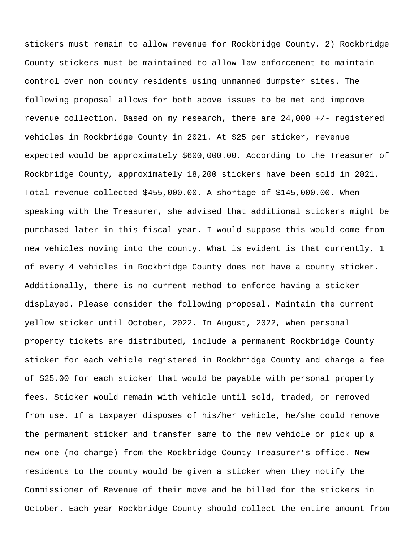stickers must remain to allow revenue for Rockbridge County. 2) Rockbridge County stickers must be maintained to allow law enforcement to maintain control over non county residents using unmanned dumpster sites. The following proposal allows for both above issues to be met and improve revenue collection. Based on my research, there are 24,000 +/- registered vehicles in Rockbridge County in 2021. At \$25 per sticker, revenue expected would be approximately \$600,000.00. According to the Treasurer of Rockbridge County, approximately 18,200 stickers have been sold in 2021. Total revenue collected \$455,000.00. A shortage of \$145,000.00. When speaking with the Treasurer, she advised that additional stickers might be purchased later in this fiscal year. I would suppose this would come from new vehicles moving into the county. What is evident is that currently, 1 of every 4 vehicles in Rockbridge County does not have a county sticker. Additionally, there is no current method to enforce having a sticker displayed. Please consider the following proposal. Maintain the current yellow sticker until October, 2022. In August, 2022, when personal property tickets are distributed, include a permanent Rockbridge County sticker for each vehicle registered in Rockbridge County and charge a fee of \$25.00 for each sticker that would be payable with personal property fees. Sticker would remain with vehicle until sold, traded, or removed from use. If a taxpayer disposes of his/her vehicle, he/she could remove the permanent sticker and transfer same to the new vehicle or pick up a new one (no charge) from the Rockbridge County Treasurer's office. New residents to the county would be given a sticker when they notify the Commissioner of Revenue of their move and be billed for the stickers in October. Each year Rockbridge County should collect the entire amount from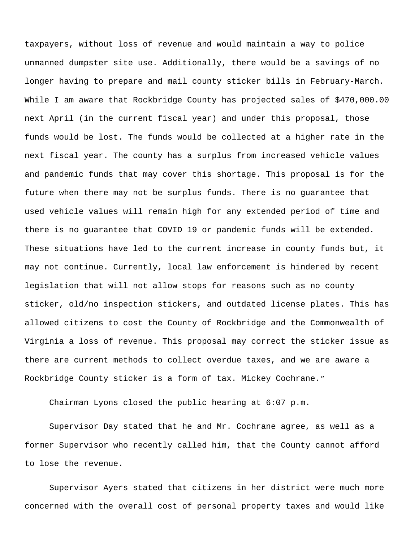taxpayers, without loss of revenue and would maintain a way to police unmanned dumpster site use. Additionally, there would be a savings of no longer having to prepare and mail county sticker bills in February-March. While I am aware that Rockbridge County has projected sales of \$470,000.00 next April (in the current fiscal year) and under this proposal, those funds would be lost. The funds would be collected at a higher rate in the next fiscal year. The county has a surplus from increased vehicle values and pandemic funds that may cover this shortage. This proposal is for the future when there may not be surplus funds. There is no guarantee that used vehicle values will remain high for any extended period of time and there is no guarantee that COVID 19 or pandemic funds will be extended. These situations have led to the current increase in county funds but, it may not continue. Currently, local law enforcement is hindered by recent legislation that will not allow stops for reasons such as no county sticker, old/no inspection stickers, and outdated license plates. This has allowed citizens to cost the County of Rockbridge and the Commonwealth of Virginia a loss of revenue. This proposal may correct the sticker issue as there are current methods to collect overdue taxes, and we are aware a Rockbridge County sticker is a form of tax. Mickey Cochrane."

Chairman Lyons closed the public hearing at 6:07 p.m.

Supervisor Day stated that he and Mr. Cochrane agree, as well as a former Supervisor who recently called him, that the County cannot afford to lose the revenue.

Supervisor Ayers stated that citizens in her district were much more concerned with the overall cost of personal property taxes and would like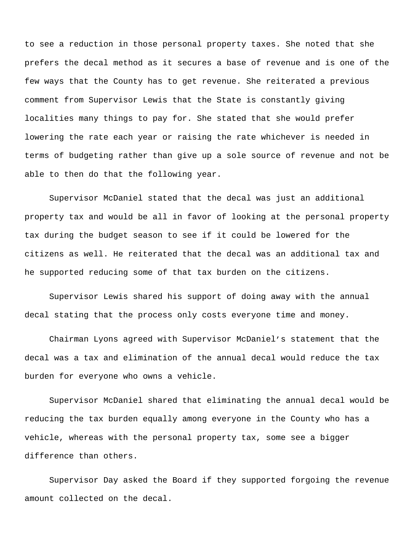to see a reduction in those personal property taxes. She noted that she prefers the decal method as it secures a base of revenue and is one of the few ways that the County has to get revenue. She reiterated a previous comment from Supervisor Lewis that the State is constantly giving localities many things to pay for. She stated that she would prefer lowering the rate each year or raising the rate whichever is needed in terms of budgeting rather than give up a sole source of revenue and not be able to then do that the following year.

Supervisor McDaniel stated that the decal was just an additional property tax and would be all in favor of looking at the personal property tax during the budget season to see if it could be lowered for the citizens as well. He reiterated that the decal was an additional tax and he supported reducing some of that tax burden on the citizens.

Supervisor Lewis shared his support of doing away with the annual decal stating that the process only costs everyone time and money.

Chairman Lyons agreed with Supervisor McDaniel's statement that the decal was a tax and elimination of the annual decal would reduce the tax burden for everyone who owns a vehicle.

Supervisor McDaniel shared that eliminating the annual decal would be reducing the tax burden equally among everyone in the County who has a vehicle, whereas with the personal property tax, some see a bigger difference than others.

Supervisor Day asked the Board if they supported forgoing the revenue amount collected on the decal.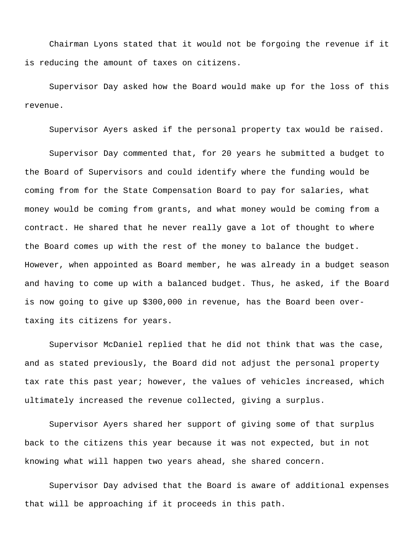Chairman Lyons stated that it would not be forgoing the revenue if it is reducing the amount of taxes on citizens.

Supervisor Day asked how the Board would make up for the loss of this revenue.

Supervisor Ayers asked if the personal property tax would be raised.

Supervisor Day commented that, for 20 years he submitted a budget to the Board of Supervisors and could identify where the funding would be coming from for the State Compensation Board to pay for salaries, what money would be coming from grants, and what money would be coming from a contract. He shared that he never really gave a lot of thought to where the Board comes up with the rest of the money to balance the budget. However, when appointed as Board member, he was already in a budget season and having to come up with a balanced budget. Thus, he asked, if the Board is now going to give up \$300,000 in revenue, has the Board been overtaxing its citizens for years.

Supervisor McDaniel replied that he did not think that was the case, and as stated previously, the Board did not adjust the personal property tax rate this past year; however, the values of vehicles increased, which ultimately increased the revenue collected, giving a surplus.

Supervisor Ayers shared her support of giving some of that surplus back to the citizens this year because it was not expected, but in not knowing what will happen two years ahead, she shared concern.

Supervisor Day advised that the Board is aware of additional expenses that will be approaching if it proceeds in this path.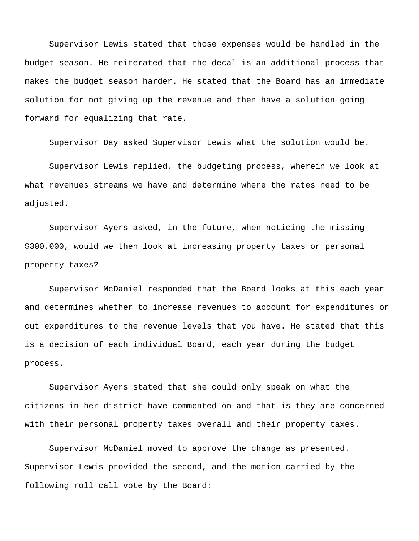Supervisor Lewis stated that those expenses would be handled in the budget season. He reiterated that the decal is an additional process that makes the budget season harder. He stated that the Board has an immediate solution for not giving up the revenue and then have a solution going forward for equalizing that rate.

Supervisor Day asked Supervisor Lewis what the solution would be.

Supervisor Lewis replied, the budgeting process, wherein we look at what revenues streams we have and determine where the rates need to be adjusted.

Supervisor Ayers asked, in the future, when noticing the missing \$300,000, would we then look at increasing property taxes or personal property taxes?

Supervisor McDaniel responded that the Board looks at this each year and determines whether to increase revenues to account for expenditures or cut expenditures to the revenue levels that you have. He stated that this is a decision of each individual Board, each year during the budget process.

Supervisor Ayers stated that she could only speak on what the citizens in her district have commented on and that is they are concerned with their personal property taxes overall and their property taxes.

Supervisor McDaniel moved to approve the change as presented. Supervisor Lewis provided the second, and the motion carried by the following roll call vote by the Board: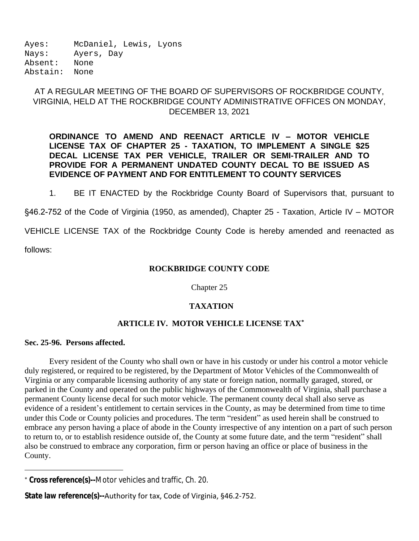Ayes: McDaniel, Lewis, Lyons Nays: Ayers, Day Absent: None Abstain: None

# AT A REGULAR MEETING OF THE BOARD OF SUPERVISORS OF ROCKBRIDGE COUNTY, VIRGINIA, HELD AT THE ROCKBRIDGE COUNTY ADMINISTRATIVE OFFICES ON MONDAY, DECEMBER 13, 2021

# **ORDINANCE TO AMEND AND REENACT ARTICLE IV – MOTOR VEHICLE LICENSE TAX OF CHAPTER 25 - TAXATION, TO IMPLEMENT A SINGLE \$25 DECAL LICENSE TAX PER VEHICLE, TRAILER OR SEMI-TRAILER AND TO PROVIDE FOR A PERMANENT UNDATED COUNTY DECAL TO BE ISSUED AS EVIDENCE OF PAYMENT AND FOR ENTITLEMENT TO COUNTY SERVICES**

1. BE IT ENACTED by the Rockbridge County Board of Supervisors that, pursuant to

§46.2-752 of the Code of Virginia (1950, as amended), Chapter 25 - Taxation, Article IV - MOTOR

VEHICLE LICENSE TAX of the Rockbridge County Code is hereby amended and reenacted as

follows:

# **ROCKBRIDGE COUNTY CODE**

Chapter 25

# **TAXATION**

# **ARTICLE IV. MOTOR VEHICLE LICENSE TAX\***

## **Sec. 25-96. Persons affected.**

Every resident of the County who shall own or have in his custody or under his control a motor vehicle duly registered, or required to be registered, by the Department of Motor Vehicles of the Commonwealth of Virginia or any comparable licensing authority of any state or foreign nation, normally garaged, stored, or parked in the County and operated on the public highways of the Commonwealth of Virginia, shall purchase a permanent County license decal for such motor vehicle. The permanent county decal shall also serve as evidence of a resident's entitlement to certain services in the County, as may be determined from time to time under this Code or County policies and procedures. The term "resident" as used herein shall be construed to embrace any person having a place of abode in the County irrespective of any intention on a part of such person to return to, or to establish residence outside of, the County at some future date, and the term "resident" shall also be construed to embrace any corporation, firm or person having an office or place of business in the County.

**State law reference(s)--**Authority for tax, Code of Virginia, §46.2-752.

<sup>\*</sup> **Cross reference(s)--**Motor vehicles and traffic, Ch. 20.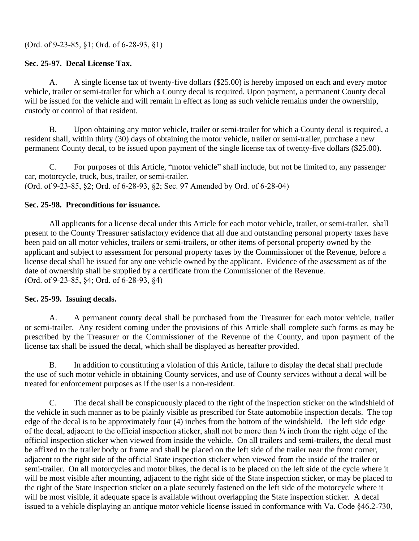# **Sec. 25-97. Decal License Tax.**

A. A single license tax of twenty-five dollars (\$25.00) is hereby imposed on each and every motor vehicle, trailer or semi-trailer for which a County decal is required. Upon payment, a permanent County decal will be issued for the vehicle and will remain in effect as long as such vehicle remains under the ownership, custody or control of that resident.

B. Upon obtaining any motor vehicle, trailer or semi-trailer for which a County decal is required, a resident shall, within thirty (30) days of obtaining the motor vehicle, trailer or semi-trailer, purchase a new permanent County decal, to be issued upon payment of the single license tax of twenty-five dollars (\$25.00).

C. For purposes of this Article, "motor vehicle" shall include, but not be limited to, any passenger car, motorcycle, truck, bus, trailer, or semi-trailer. (Ord. of 9-23-85, §2; Ord. of 6-28-93, §2; Sec. 97 Amended by Ord. of 6-28-04)

# **Sec. 25-98. Preconditions for issuance.**

All applicants for a license decal under this Article for each motor vehicle, trailer, or semi-trailer, shall present to the County Treasurer satisfactory evidence that all due and outstanding personal property taxes have been paid on all motor vehicles, trailers or semi-trailers, or other items of personal property owned by the applicant and subject to assessment for personal property taxes by the Commissioner of the Revenue, before a license decal shall be issued for any one vehicle owned by the applicant. Evidence of the assessment as of the date of ownership shall be supplied by a certificate from the Commissioner of the Revenue. (Ord. of 9-23-85, §4; Ord. of 6-28-93, §4)

# **Sec. 25-99. Issuing decals.**

A. A permanent county decal shall be purchased from the Treasurer for each motor vehicle, trailer or semi-trailer. Any resident coming under the provisions of this Article shall complete such forms as may be prescribed by the Treasurer or the Commissioner of the Revenue of the County, and upon payment of the license tax shall be issued the decal, which shall be displayed as hereafter provided.

B. In addition to constituting a violation of this Article, failure to display the decal shall preclude the use of such motor vehicle in obtaining County services, and use of County services without a decal will be treated for enforcement purposes as if the user is a non-resident.

C. The decal shall be conspicuously placed to the right of the inspection sticker on the windshield of the vehicle in such manner as to be plainly visible as prescribed for State automobile inspection decals. The top edge of the decal is to be approximately four (4) inches from the bottom of the windshield. The left side edge of the decal, adjacent to the official inspection sticker, shall not be more than ¼ inch from the right edge of the official inspection sticker when viewed from inside the vehicle. On all trailers and semi-trailers, the decal must be affixed to the trailer body or frame and shall be placed on the left side of the trailer near the front corner, adjacent to the right side of the official State inspection sticker when viewed from the inside of the trailer or semi-trailer. On all motorcycles and motor bikes, the decal is to be placed on the left side of the cycle where it will be most visible after mounting, adjacent to the right side of the State inspection sticker, or may be placed to the right of the State inspection sticker on a plate securely fastened on the left side of the motorcycle where it will be most visible, if adequate space is available without overlapping the State inspection sticker. A decal issued to a vehicle displaying an antique motor vehicle license issued in conformance with Va. Code §46.2-730,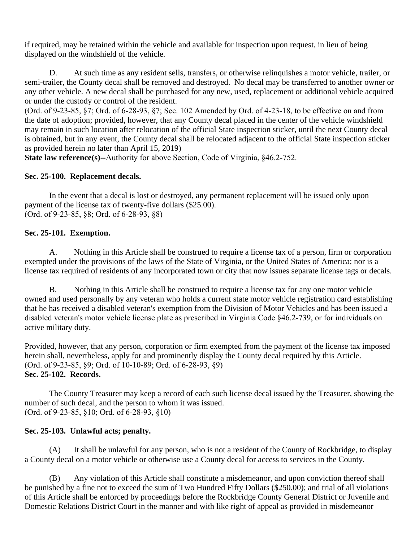if required, may be retained within the vehicle and available for inspection upon request, in lieu of being displayed on the windshield of the vehicle.

D. At such time as any resident sells, transfers, or otherwise relinquishes a motor vehicle, trailer, or semi-trailer, the County decal shall be removed and destroyed. No decal may be transferred to another owner or any other vehicle. A new decal shall be purchased for any new, used, replacement or additional vehicle acquired or under the custody or control of the resident.

(Ord. of 9-23-85, §7; Ord. of 6-28-93, §7; Sec. 102 Amended by Ord. of 4-23-18, to be effective on and from the date of adoption; provided, however, that any County decal placed in the center of the vehicle windshield may remain in such location after relocation of the official State inspection sticker, until the next County decal is obtained, but in any event, the County decal shall be relocated adjacent to the official State inspection sticker as provided herein no later than April 15, 2019)

**State law reference(s)--**Authority for above Section, Code of Virginia, §46.2-752.

## **Sec. 25-100. Replacement decals.**

In the event that a decal is lost or destroyed, any permanent replacement will be issued only upon payment of the license tax of twenty-five dollars (\$25.00). (Ord. of 9-23-85, §8; Ord. of 6-28-93, §8)

# **Sec. 25-101. Exemption.**

A. Nothing in this Article shall be construed to require a license tax of a person, firm or corporation exempted under the provisions of the laws of the State of Virginia, or the United States of America; nor is a license tax required of residents of any incorporated town or city that now issues separate license tags or decals.

B. Nothing in this Article shall be construed to require a license tax for any one motor vehicle owned and used personally by any veteran who holds a current state motor vehicle registration card establishing that he has received a disabled veteran's exemption from the Division of Motor Vehicles and has been issued a disabled veteran's motor vehicle license plate as prescribed in Virginia Code §46.2-739, or for individuals on active military duty.

Provided, however, that any person, corporation or firm exempted from the payment of the license tax imposed herein shall, nevertheless, apply for and prominently display the County decal required by this Article. (Ord. of 9-23-85, §9; Ord. of 10-10-89; Ord. of 6-28-93, §9) **Sec. 25-102. Records.**

The County Treasurer may keep a record of each such license decal issued by the Treasurer, showing the number of such decal, and the person to whom it was issued. (Ord. of 9-23-85, §10; Ord. of 6-28-93, §10)

## **Sec. 25-103. Unlawful acts; penalty.**

(A) It shall be unlawful for any person, who is not a resident of the County of Rockbridge, to display a County decal on a motor vehicle or otherwise use a County decal for access to services in the County.

(B) Any violation of this Article shall constitute a misdemeanor, and upon conviction thereof shall be punished by a fine not to exceed the sum of Two Hundred Fifty Dollars (\$250.00); and trial of all violations of this Article shall be enforced by proceedings before the Rockbridge County General District or Juvenile and Domestic Relations District Court in the manner and with like right of appeal as provided in misdemeanor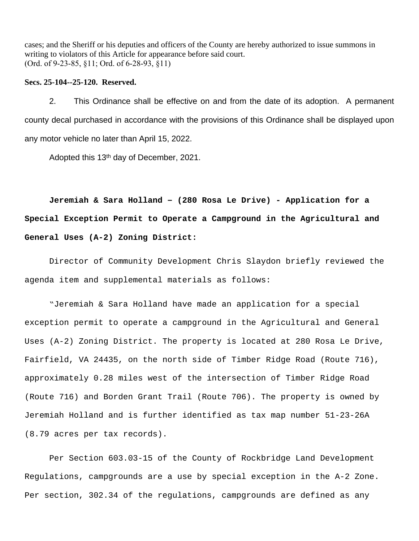cases; and the Sheriff or his deputies and officers of the County are hereby authorized to issue summons in writing to violators of this Article for appearance before said court. (Ord. of 9-23-85, §11; Ord. of 6-28-93, §11)

#### **Secs. 25-104--25-120. Reserved.**

2. This Ordinance shall be effective on and from the date of its adoption. A permanent county decal purchased in accordance with the provisions of this Ordinance shall be displayed upon any motor vehicle no later than April 15, 2022.

Adopted this 13<sup>th</sup> day of December, 2021.

**Jeremiah & Sara Holland – (280 Rosa Le Drive) - Application for a Special Exception Permit to Operate a Campground in the Agricultural and General Uses (A-2) Zoning District:**

Director of Community Development Chris Slaydon briefly reviewed the agenda item and supplemental materials as follows:

"Jeremiah & Sara Holland have made an application for a special exception permit to operate a campground in the Agricultural and General Uses (A-2) Zoning District. The property is located at 280 Rosa Le Drive, Fairfield, VA 24435, on the north side of Timber Ridge Road (Route 716), approximately 0.28 miles west of the intersection of Timber Ridge Road (Route 716) and Borden Grant Trail (Route 706). The property is owned by Jeremiah Holland and is further identified as tax map number 51-23-26A (8.79 acres per tax records).

Per Section 603.03-15 of the County of Rockbridge Land Development Regulations, campgrounds are a use by special exception in the A-2 Zone. Per section, 302.34 of the regulations, campgrounds are defined as any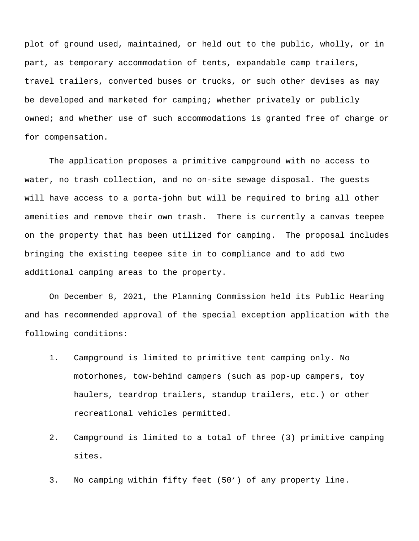plot of ground used, maintained, or held out to the public, wholly, or in part, as temporary accommodation of tents, expandable camp trailers, travel trailers, converted buses or trucks, or such other devises as may be developed and marketed for camping; whether privately or publicly owned; and whether use of such accommodations is granted free of charge or for compensation.

The application proposes a primitive campground with no access to water, no trash collection, and no on-site sewage disposal. The guests will have access to a porta-john but will be required to bring all other amenities and remove their own trash. There is currently a canvas teepee on the property that has been utilized for camping. The proposal includes bringing the existing teepee site in to compliance and to add two additional camping areas to the property.

On December 8, 2021, the Planning Commission held its Public Hearing and has recommended approval of the special exception application with the following conditions:

- 1. Campground is limited to primitive tent camping only. No motorhomes, tow-behind campers (such as pop-up campers, toy haulers, teardrop trailers, standup trailers, etc.) or other recreational vehicles permitted.
- 2. Campground is limited to a total of three (3) primitive camping sites.
- 3. No camping within fifty feet (50') of any property line.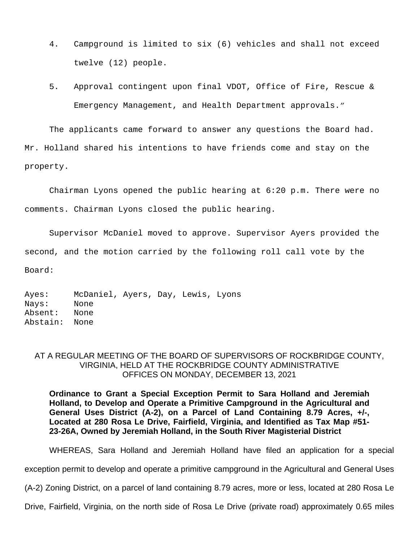- 4. Campground is limited to six (6) vehicles and shall not exceed twelve (12) people.
- 5. Approval contingent upon final VDOT, Office of Fire, Rescue & Emergency Management, and Health Department approvals."

The applicants came forward to answer any questions the Board had. Mr. Holland shared his intentions to have friends come and stay on the property.

Chairman Lyons opened the public hearing at 6:20 p.m. There were no comments. Chairman Lyons closed the public hearing.

Supervisor McDaniel moved to approve. Supervisor Ayers provided the second, and the motion carried by the following roll call vote by the Board:

Ayes: McDaniel, Ayers, Day, Lewis, Lyons Nays: None Absent: None Abstain: None

## AT A REGULAR MEETING OF THE BOARD OF SUPERVISORS OF ROCKBRIDGE COUNTY, VIRGINIA, HELD AT THE ROCKBRIDGE COUNTY ADMINISTRATIVE OFFICES ON MONDAY, DECEMBER 13, 2021

**Ordinance to Grant a Special Exception Permit to Sara Holland and Jeremiah Holland, to Develop and Operate a Primitive Campground in the Agricultural and General Uses District (A-2), on a Parcel of Land Containing 8.79 Acres, +/-, Located at 280 Rosa Le Drive, Fairfield, Virginia, and Identified as Tax Map #51- 23-26A, Owned by Jeremiah Holland, in the South River Magisterial District**

WHEREAS, Sara Holland and Jeremiah Holland have filed an application for a special

exception permit to develop and operate a primitive campground in the Agricultural and General Uses

(A-2) Zoning District, on a parcel of land containing 8.79 acres, more or less, located at 280 Rosa Le

Drive, Fairfield, Virginia, on the north side of Rosa Le Drive (private road) approximately 0.65 miles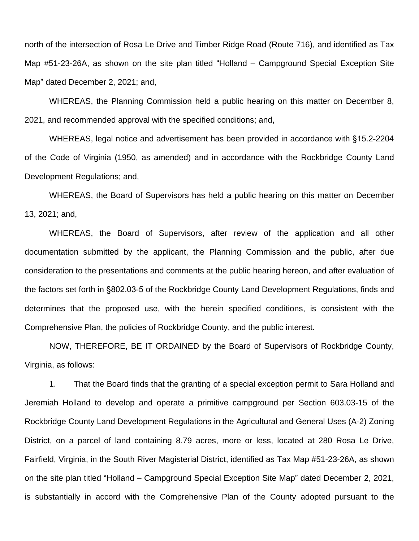north of the intersection of Rosa Le Drive and Timber Ridge Road (Route 716), and identified as Tax Map #51-23-26A, as shown on the site plan titled "Holland – Campground Special Exception Site Map" dated December 2, 2021; and,

WHEREAS, the Planning Commission held a public hearing on this matter on December 8, 2021, and recommended approval with the specified conditions; and,

WHEREAS, legal notice and advertisement has been provided in accordance with §15.2-2204 of the Code of Virginia (1950, as amended) and in accordance with the Rockbridge County Land Development Regulations; and,

WHEREAS, the Board of Supervisors has held a public hearing on this matter on December 13, 2021; and,

WHEREAS, the Board of Supervisors, after review of the application and all other documentation submitted by the applicant, the Planning Commission and the public, after due consideration to the presentations and comments at the public hearing hereon, and after evaluation of the factors set forth in §802.03-5 of the Rockbridge County Land Development Regulations, finds and determines that the proposed use, with the herein specified conditions, is consistent with the Comprehensive Plan, the policies of Rockbridge County, and the public interest.

NOW, THEREFORE, BE IT ORDAINED by the Board of Supervisors of Rockbridge County, Virginia, as follows:

1. That the Board finds that the granting of a special exception permit to Sara Holland and Jeremiah Holland to develop and operate a primitive campground per Section 603.03-15 of the Rockbridge County Land Development Regulations in the Agricultural and General Uses (A-2) Zoning District, on a parcel of land containing 8.79 acres, more or less, located at 280 Rosa Le Drive, Fairfield, Virginia, in the South River Magisterial District, identified as Tax Map #51-23-26A, as shown on the site plan titled "Holland – Campground Special Exception Site Map" dated December 2, 2021, is substantially in accord with the Comprehensive Plan of the County adopted pursuant to the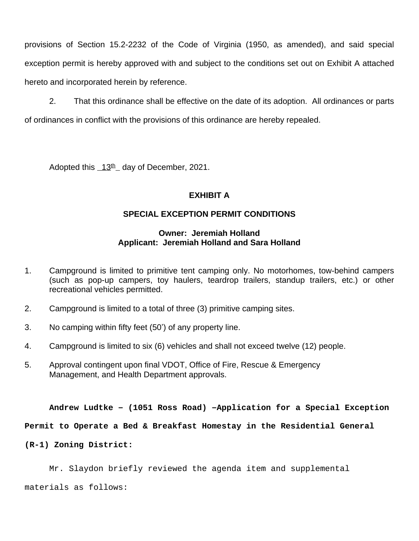provisions of Section 15.2-2232 of the Code of Virginia (1950, as amended), and said special exception permit is hereby approved with and subject to the conditions set out on Exhibit A attached hereto and incorporated herein by reference.

2. That this ordinance shall be effective on the date of its adoption. All ordinances or parts of ordinances in conflict with the provisions of this ordinance are hereby repealed.

Adopted this 13<sup>th</sup> day of December, 2021.

# **EXHIBIT A**

# **SPECIAL EXCEPTION PERMIT CONDITIONS**

# **Owner: Jeremiah Holland Applicant: Jeremiah Holland and Sara Holland**

- 1. Campground is limited to primitive tent camping only. No motorhomes, tow-behind campers (such as pop-up campers, toy haulers, teardrop trailers, standup trailers, etc.) or other recreational vehicles permitted.
- 2. Campground is limited to a total of three (3) primitive camping sites.
- 3. No camping within fifty feet (50') of any property line.
- 4. Campground is limited to six (6) vehicles and shall not exceed twelve (12) people.
- 5. Approval contingent upon final VDOT, Office of Fire, Rescue & Emergency Management, and Health Department approvals.

**Andrew Ludtke – (1051 Ross Road) –Application for a Special Exception**

**Permit to Operate a Bed & Breakfast Homestay in the Residential General** 

**(R-1) Zoning District:**

Mr. Slaydon briefly reviewed the agenda item and supplemental

materials as follows: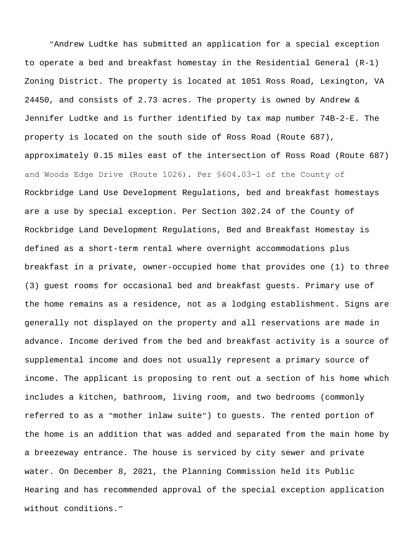"Andrew Ludtke has submitted an application for a special exception to operate a bed and breakfast homestay in the Residential General (R-1) Zoning District. The property is located at 1051 Ross Road, Lexington, VA 24450, and consists of 2.73 acres. The property is owned by Andrew & Jennifer Ludtke and is further identified by tax map number 74B-2-E. The property is located on the south side of Ross Road (Route 687), approximately 0.15 miles east of the intersection of Ross Road (Route 687) and Woods Edge Drive (Route 1026). Per §604.03-1 of the County of Rockbridge Land Use Development Regulations, bed and breakfast homestays are a use by special exception. Per Section 302.24 of the County of Rockbridge Land Development Regulations, Bed and Breakfast Homestay is defined as a short-term rental where overnight accommodations plus breakfast in a private, owner-occupied home that provides one (1) to three (3) guest rooms for occasional bed and breakfast guests. Primary use of the home remains as a residence, not as a lodging establishment. Signs are generally not displayed on the property and all reservations are made in advance. Income derived from the bed and breakfast activity is a source of supplemental income and does not usually represent a primary source of income. The applicant is proposing to rent out a section of his home which includes a kitchen, bathroom, living room, and two bedrooms (commonly referred to as a "mother inlaw suite") to guests. The rented portion of the home is an addition that was added and separated from the main home by a breezeway entrance. The house is serviced by city sewer and private water. On December 8, 2021, the Planning Commission held its Public Hearing and has recommended approval of the special exception application without conditions."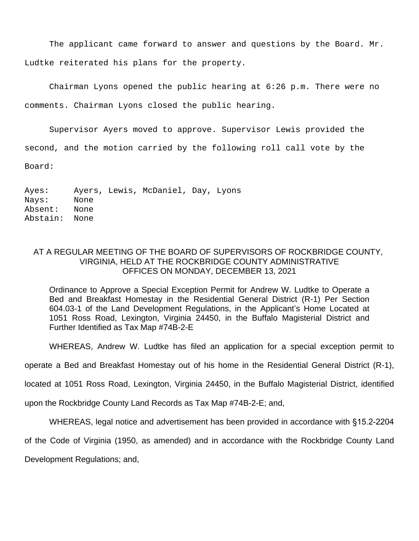The applicant came forward to answer and questions by the Board. Mr. Ludtke reiterated his plans for the property.

Chairman Lyons opened the public hearing at 6:26 p.m. There were no comments. Chairman Lyons closed the public hearing.

Supervisor Ayers moved to approve. Supervisor Lewis provided the second, and the motion carried by the following roll call vote by the Board:

Ayes: Ayers, Lewis, McDaniel, Day, Lyons Nays: None Absent: None Abstain: None

## AT A REGULAR MEETING OF THE BOARD OF SUPERVISORS OF ROCKBRIDGE COUNTY, VIRGINIA, HELD AT THE ROCKBRIDGE COUNTY ADMINISTRATIVE OFFICES ON MONDAY, DECEMBER 13, 2021

Ordinance to Approve a Special Exception Permit for Andrew W. Ludtke to Operate a Bed and Breakfast Homestay in the Residential General District (R-1) Per Section 604.03-1 of the Land Development Regulations, in the Applicant's Home Located at 1051 Ross Road, Lexington, Virginia 24450, in the Buffalo Magisterial District and Further Identified as Tax Map #74B-2-E

WHEREAS, Andrew W. Ludtke has filed an application for a special exception permit to

operate a Bed and Breakfast Homestay out of his home in the Residential General District (R-1),

located at 1051 Ross Road, Lexington, Virginia 24450, in the Buffalo Magisterial District, identified

upon the Rockbridge County Land Records as Tax Map #74B-2-E; and,

WHEREAS, legal notice and advertisement has been provided in accordance with §15.2-2204

of the Code of Virginia (1950, as amended) and in accordance with the Rockbridge County Land

Development Regulations; and,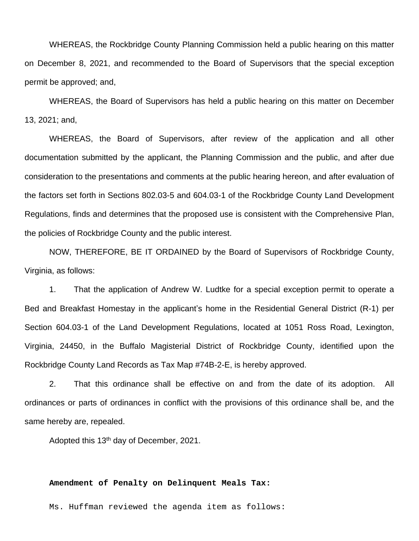WHEREAS, the Rockbridge County Planning Commission held a public hearing on this matter on December 8, 2021, and recommended to the Board of Supervisors that the special exception permit be approved; and,

WHEREAS, the Board of Supervisors has held a public hearing on this matter on December 13, 2021; and,

WHEREAS, the Board of Supervisors, after review of the application and all other documentation submitted by the applicant, the Planning Commission and the public, and after due consideration to the presentations and comments at the public hearing hereon, and after evaluation of the factors set forth in Sections 802.03-5 and 604.03-1 of the Rockbridge County Land Development Regulations, finds and determines that the proposed use is consistent with the Comprehensive Plan, the policies of Rockbridge County and the public interest.

NOW, THEREFORE, BE IT ORDAINED by the Board of Supervisors of Rockbridge County, Virginia, as follows:

1. That the application of Andrew W. Ludtke for a special exception permit to operate a Bed and Breakfast Homestay in the applicant's home in the Residential General District (R-1) per Section 604.03-1 of the Land Development Regulations, located at 1051 Ross Road, Lexington, Virginia, 24450, in the Buffalo Magisterial District of Rockbridge County, identified upon the Rockbridge County Land Records as Tax Map #74B-2-E, is hereby approved.

2. That this ordinance shall be effective on and from the date of its adoption. All ordinances or parts of ordinances in conflict with the provisions of this ordinance shall be, and the same hereby are, repealed.

Adopted this 13th day of December, 2021.

## **Amendment of Penalty on Delinquent Meals Tax:**

Ms. Huffman reviewed the agenda item as follows: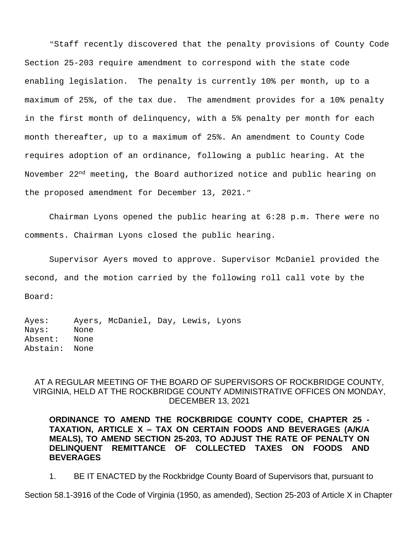"Staff recently discovered that the penalty provisions of County Code Section 25-203 require amendment to correspond with the state code enabling legislation. The penalty is currently 10% per month, up to a maximum of 25%, of the tax due. The amendment provides for a 10% penalty in the first month of delinquency, with a 5% penalty per month for each month thereafter, up to a maximum of 25%. An amendment to County Code requires adoption of an ordinance, following a public hearing. At the November 22nd meeting, the Board authorized notice and public hearing on the proposed amendment for December 13, 2021."

Chairman Lyons opened the public hearing at 6:28 p.m. There were no comments. Chairman Lyons closed the public hearing.

Supervisor Ayers moved to approve. Supervisor McDaniel provided the second, and the motion carried by the following roll call vote by the Board:

Ayes: Ayers, McDaniel, Day, Lewis, Lyons Nays: None Absent: None Abstain: None

# AT A REGULAR MEETING OF THE BOARD OF SUPERVISORS OF ROCKBRIDGE COUNTY, VIRGINIA, HELD AT THE ROCKBRIDGE COUNTY ADMINISTRATIVE OFFICES ON MONDAY, DECEMBER 13, 2021

**ORDINANCE TO AMEND THE ROCKBRIDGE COUNTY CODE, CHAPTER 25 - TAXATION, ARTICLE X – TAX ON CERTAIN FOODS AND BEVERAGES (A/K/A MEALS), TO AMEND SECTION 25-203, TO ADJUST THE RATE OF PENALTY ON DELINQUENT REMITTANCE OF COLLECTED TAXES ON FOODS AND BEVERAGES**

1. BE IT ENACTED by the Rockbridge County Board of Supervisors that, pursuant to

Section 58.1-3916 of the Code of Virginia (1950, as amended), Section 25-203 of Article X in Chapter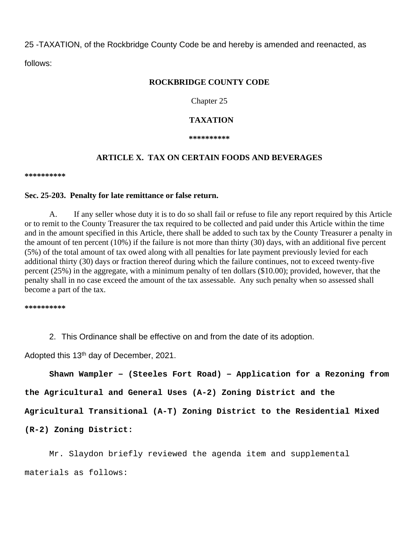25 -TAXATION, of the Rockbridge County Code be and hereby is amended and reenacted, as follows:

## **ROCKBRIDGE COUNTY CODE**

Chapter 25

## **TAXATION**

**\*\*\*\*\*\*\*\*\*\***

## **ARTICLE X. TAX ON CERTAIN FOODS AND BEVERAGES**

**\*\*\*\*\*\*\*\*\*\***

#### **Sec. 25-203. Penalty for late remittance or false return.**

A. If any seller whose duty it is to do so shall fail or refuse to file any report required by this Article or to remit to the County Treasurer the tax required to be collected and paid under this Article within the time and in the amount specified in this Article, there shall be added to such tax by the County Treasurer a penalty in the amount of ten percent (10%) if the failure is not more than thirty (30) days, with an additional five percent (5%) of the total amount of tax owed along with all penalties for late payment previously levied for each additional thirty (30) days or fraction thereof during which the failure continues, not to exceed twenty-five percent (25%) in the aggregate, with a minimum penalty of ten dollars (\$10.00); provided, however, that the penalty shall in no case exceed the amount of the tax assessable. Any such penalty when so assessed shall become a part of the tax.

**\*\*\*\*\*\*\*\*\*\***

2. This Ordinance shall be effective on and from the date of its adoption.

Adopted this 13th day of December, 2021.

**Shawn Wampler – (Steeles Fort Road) – Application for a Rezoning from**

**the Agricultural and General Uses (A-2) Zoning District and the** 

**Agricultural Transitional (A-T) Zoning District to the Residential Mixed** 

**(R-2) Zoning District:**

Mr. Slaydon briefly reviewed the agenda item and supplemental materials as follows: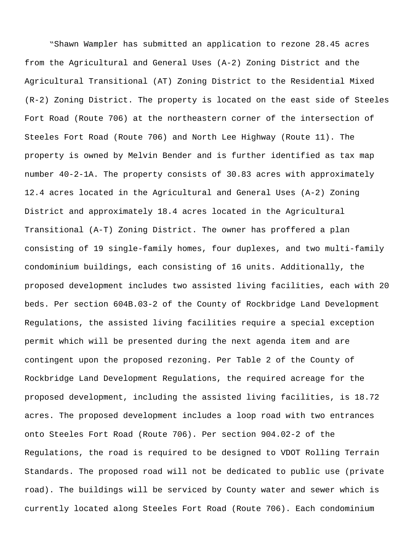"Shawn Wampler has submitted an application to rezone 28.45 acres from the Agricultural and General Uses (A-2) Zoning District and the Agricultural Transitional (AT) Zoning District to the Residential Mixed (R-2) Zoning District. The property is located on the east side of Steeles Fort Road (Route 706) at the northeastern corner of the intersection of Steeles Fort Road (Route 706) and North Lee Highway (Route 11). The property is owned by Melvin Bender and is further identified as tax map number 40-2-1A. The property consists of 30.83 acres with approximately 12.4 acres located in the Agricultural and General Uses (A-2) Zoning District and approximately 18.4 acres located in the Agricultural Transitional (A-T) Zoning District. The owner has proffered a plan consisting of 19 single-family homes, four duplexes, and two multi-family condominium buildings, each consisting of 16 units. Additionally, the proposed development includes two assisted living facilities, each with 20 beds. Per section 604B.03-2 of the County of Rockbridge Land Development Regulations, the assisted living facilities require a special exception permit which will be presented during the next agenda item and are contingent upon the proposed rezoning. Per Table 2 of the County of Rockbridge Land Development Regulations, the required acreage for the proposed development, including the assisted living facilities, is 18.72 acres. The proposed development includes a loop road with two entrances onto Steeles Fort Road (Route 706). Per section 904.02-2 of the Regulations, the road is required to be designed to VDOT Rolling Terrain Standards. The proposed road will not be dedicated to public use (private road). The buildings will be serviced by County water and sewer which is currently located along Steeles Fort Road (Route 706). Each condominium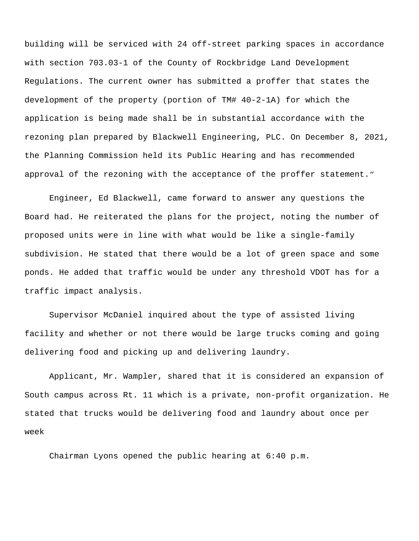building will be serviced with 24 off-street parking spaces in accordance with section 703.03-1 of the County of Rockbridge Land Development Regulations. The current owner has submitted a proffer that states the development of the property (portion of TM# 40-2-1A) for which the application is being made shall be in substantial accordance with the rezoning plan prepared by Blackwell Engineering, PLC. On December 8, 2021, the Planning Commission held its Public Hearing and has recommended approval of the rezoning with the acceptance of the proffer statement."

Engineer, Ed Blackwell, came forward to answer any questions the Board had. He reiterated the plans for the project, noting the number of proposed units were in line with what would be like a single-family subdivision. He stated that there would be a lot of green space and some ponds. He added that traffic would be under any threshold VDOT has for a traffic impact analysis.

Supervisor McDaniel inquired about the type of assisted living facility and whether or not there would be large trucks coming and going delivering food and picking up and delivering laundry.

Applicant, Mr. Wampler, shared that it is considered an expansion of South campus across Rt. 11 which is a private, non-profit organization. He stated that trucks would be delivering food and laundry about once per week

Chairman Lyons opened the public hearing at 6:40 p.m.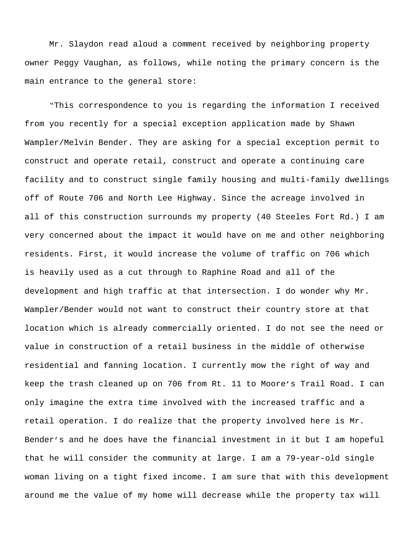Mr. Slaydon read aloud a comment received by neighboring property owner Peggy Vaughan, as follows, while noting the primary concern is the main entrance to the general store:

"This correspondence to you is regarding the information I received from you recently for a special exception application made by Shawn Wampler/Melvin Bender. They are asking for a special exception permit to construct and operate retail, construct and operate a continuing care facility and to construct single family housing and multi-family dwellings off of Route 706 and North Lee Highway. Since the acreage involved in all of this construction surrounds my property (40 Steeles Fort Rd.) I am very concerned about the impact it would have on me and other neighboring residents. First, it would increase the volume of traffic on 706 which is heavily used as a cut through to Raphine Road and all of the development and high traffic at that intersection. I do wonder why Mr. Wampler/Bender would not want to construct their country store at that location which is already commercially oriented. I do not see the need or value in construction of a retail business in the middle of otherwise residential and fanning location. I currently mow the right of way and keep the trash cleaned up on 706 from Rt. 11 to Moore's Trail Road. I can only imagine the extra time involved with the increased traffic and a retail operation. I do realize that the property involved here is Mr. Bender's and he does have the financial investment in it but I am hopeful that he will consider the community at large. I am a 79-year-old single woman living on a tight fixed income. I am sure that with this development around me the value of my home will decrease while the property tax will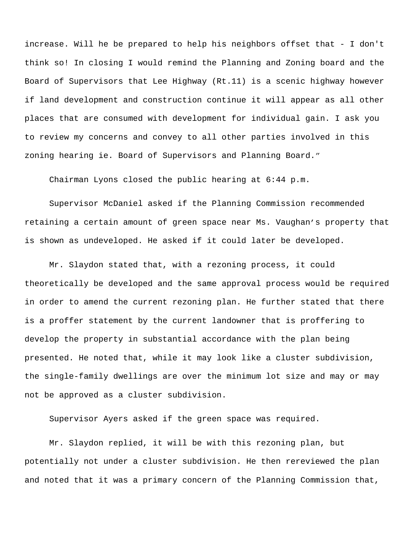increase. Will he be prepared to help his neighbors offset that - I don't think so! In closing I would remind the Planning and Zoning board and the Board of Supervisors that Lee Highway (Rt.11) is a scenic highway however if land development and construction continue it will appear as all other places that are consumed with development for individual gain. I ask you to review my concerns and convey to all other parties involved in this zoning hearing ie. Board of Supervisors and Planning Board."

Chairman Lyons closed the public hearing at 6:44 p.m.

Supervisor McDaniel asked if the Planning Commission recommended retaining a certain amount of green space near Ms. Vaughan's property that is shown as undeveloped. He asked if it could later be developed.

Mr. Slaydon stated that, with a rezoning process, it could theoretically be developed and the same approval process would be required in order to amend the current rezoning plan. He further stated that there is a proffer statement by the current landowner that is proffering to develop the property in substantial accordance with the plan being presented. He noted that, while it may look like a cluster subdivision, the single-family dwellings are over the minimum lot size and may or may not be approved as a cluster subdivision.

Supervisor Ayers asked if the green space was required.

Mr. Slaydon replied, it will be with this rezoning plan, but potentially not under a cluster subdivision. He then rereviewed the plan and noted that it was a primary concern of the Planning Commission that,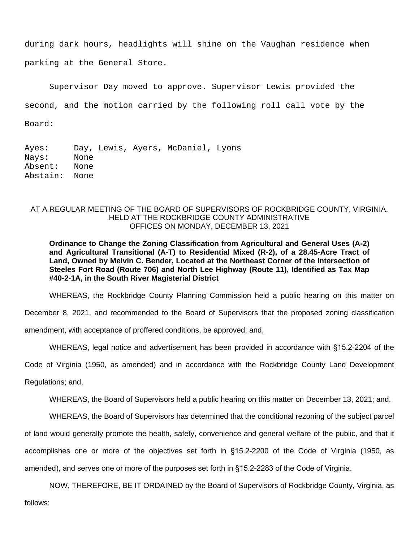during dark hours, headlights will shine on the Vaughan residence when parking at the General Store.

Supervisor Day moved to approve. Supervisor Lewis provided the

second, and the motion carried by the following roll call vote by the

Board:

Ayes: Day, Lewis, Ayers, McDaniel, Lyons Nays: None Absent: None Abstain: None

## AT A REGULAR MEETING OF THE BOARD OF SUPERVISORS OF ROCKBRIDGE COUNTY, VIRGINIA, HELD AT THE ROCKBRIDGE COUNTY ADMINISTRATIVE OFFICES ON MONDAY, DECEMBER 13, 2021

**Ordinance to Change the Zoning Classification from Agricultural and General Uses (A-2) and Agricultural Transitional (A-T) to Residential Mixed (R-2), of a 28.45-Acre Tract of Land, Owned by Melvin C. Bender, Located at the Northeast Corner of the Intersection of Steeles Fort Road (Route 706) and North Lee Highway (Route 11), Identified as Tax Map #40-2-1A, in the South River Magisterial District**

WHEREAS, the Rockbridge County Planning Commission held a public hearing on this matter on

December 8, 2021, and recommended to the Board of Supervisors that the proposed zoning classification

amendment, with acceptance of proffered conditions, be approved; and,

WHEREAS, legal notice and advertisement has been provided in accordance with §15.2-2204 of the

Code of Virginia (1950, as amended) and in accordance with the Rockbridge County Land Development

Regulations; and,

WHEREAS, the Board of Supervisors held a public hearing on this matter on December 13, 2021; and,

WHEREAS, the Board of Supervisors has determined that the conditional rezoning of the subject parcel

of land would generally promote the health, safety, convenience and general welfare of the public, and that it

accomplishes one or more of the objectives set forth in §15.2-2200 of the Code of Virginia (1950, as amended), and serves one or more of the purposes set forth in §15.2-2283 of the Code of Virginia.

NOW, THEREFORE, BE IT ORDAINED by the Board of Supervisors of Rockbridge County, Virginia, as

follows: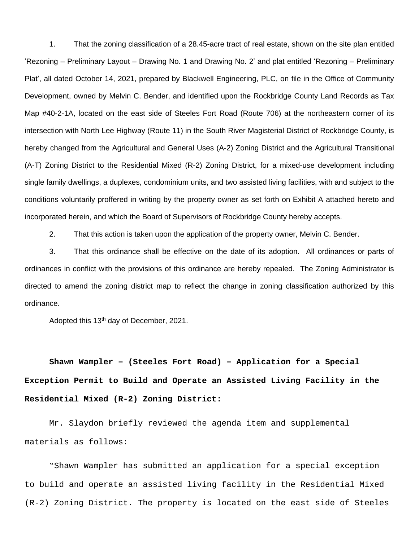1. That the zoning classification of a 28.45-acre tract of real estate, shown on the site plan entitled 'Rezoning – Preliminary Layout – Drawing No. 1 and Drawing No. 2' and plat entitled 'Rezoning – Preliminary Plat', all dated October 14, 2021, prepared by Blackwell Engineering, PLC, on file in the Office of Community Development, owned by Melvin C. Bender, and identified upon the Rockbridge County Land Records as Tax Map #40-2-1A, located on the east side of Steeles Fort Road (Route 706) at the northeastern corner of its intersection with North Lee Highway (Route 11) in the South River Magisterial District of Rockbridge County, is hereby changed from the Agricultural and General Uses (A-2) Zoning District and the Agricultural Transitional (A-T) Zoning District to the Residential Mixed (R-2) Zoning District, for a mixed-use development including single family dwellings, a duplexes, condominium units, and two assisted living facilities, with and subject to the conditions voluntarily proffered in writing by the property owner as set forth on Exhibit A attached hereto and incorporated herein, and which the Board of Supervisors of Rockbridge County hereby accepts.

2. That this action is taken upon the application of the property owner, Melvin C. Bender.

3. That this ordinance shall be effective on the date of its adoption. All ordinances or parts of ordinances in conflict with the provisions of this ordinance are hereby repealed. The Zoning Administrator is directed to amend the zoning district map to reflect the change in zoning classification authorized by this ordinance.

Adopted this 13<sup>th</sup> day of December, 2021.

**Shawn Wampler – (Steeles Fort Road) – Application for a Special Exception Permit to Build and Operate an Assisted Living Facility in the Residential Mixed (R-2) Zoning District:**

Mr. Slaydon briefly reviewed the agenda item and supplemental materials as follows:

"Shawn Wampler has submitted an application for a special exception to build and operate an assisted living facility in the Residential Mixed (R-2) Zoning District. The property is located on the east side of Steeles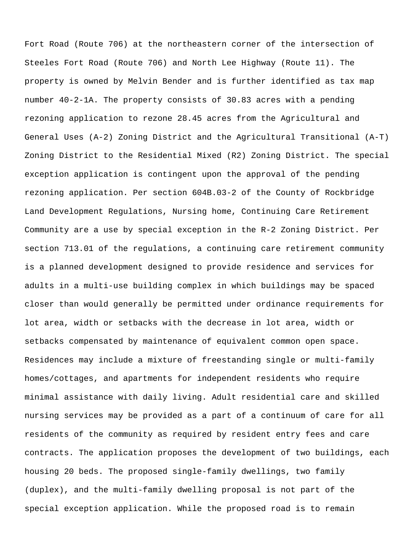Fort Road (Route 706) at the northeastern corner of the intersection of Steeles Fort Road (Route 706) and North Lee Highway (Route 11). The property is owned by Melvin Bender and is further identified as tax map number 40-2-1A. The property consists of 30.83 acres with a pending rezoning application to rezone 28.45 acres from the Agricultural and General Uses (A-2) Zoning District and the Agricultural Transitional (A-T) Zoning District to the Residential Mixed (R2) Zoning District. The special exception application is contingent upon the approval of the pending rezoning application. Per section 604B.03-2 of the County of Rockbridge Land Development Regulations, Nursing home, Continuing Care Retirement Community are a use by special exception in the R-2 Zoning District. Per section 713.01 of the regulations, a continuing care retirement community is a planned development designed to provide residence and services for adults in a multi-use building complex in which buildings may be spaced closer than would generally be permitted under ordinance requirements for lot area, width or setbacks with the decrease in lot area, width or setbacks compensated by maintenance of equivalent common open space. Residences may include a mixture of freestanding single or multi-family homes/cottages, and apartments for independent residents who require minimal assistance with daily living. Adult residential care and skilled nursing services may be provided as a part of a continuum of care for all residents of the community as required by resident entry fees and care contracts. The application proposes the development of two buildings, each housing 20 beds. The proposed single-family dwellings, two family (duplex), and the multi-family dwelling proposal is not part of the special exception application. While the proposed road is to remain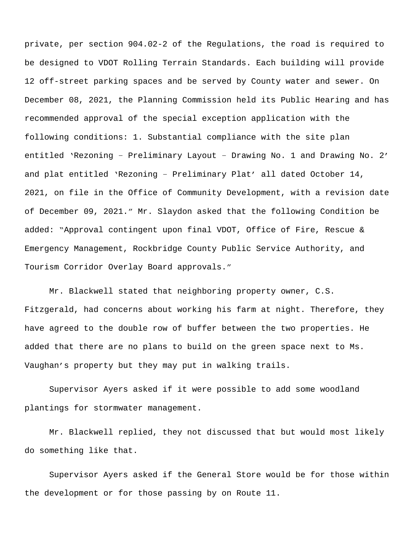private, per section 904.02-2 of the Regulations, the road is required to be designed to VDOT Rolling Terrain Standards. Each building will provide 12 off-street parking spaces and be served by County water and sewer. On December 08, 2021, the Planning Commission held its Public Hearing and has recommended approval of the special exception application with the following conditions: 1. Substantial compliance with the site plan entitled 'Rezoning – Preliminary Layout – Drawing No. 1 and Drawing No. 2' and plat entitled 'Rezoning – Preliminary Plat' all dated October 14, 2021, on file in the Office of Community Development, with a revision date of December 09, 2021." Mr. Slaydon asked that the following Condition be added: "Approval contingent upon final VDOT, Office of Fire, Rescue & Emergency Management, Rockbridge County Public Service Authority, and Tourism Corridor Overlay Board approvals."

Mr. Blackwell stated that neighboring property owner, C.S. Fitzgerald, had concerns about working his farm at night. Therefore, they have agreed to the double row of buffer between the two properties. He added that there are no plans to build on the green space next to Ms. Vaughan's property but they may put in walking trails.

Supervisor Ayers asked if it were possible to add some woodland plantings for stormwater management.

Mr. Blackwell replied, they not discussed that but would most likely do something like that.

Supervisor Ayers asked if the General Store would be for those within the development or for those passing by on Route 11.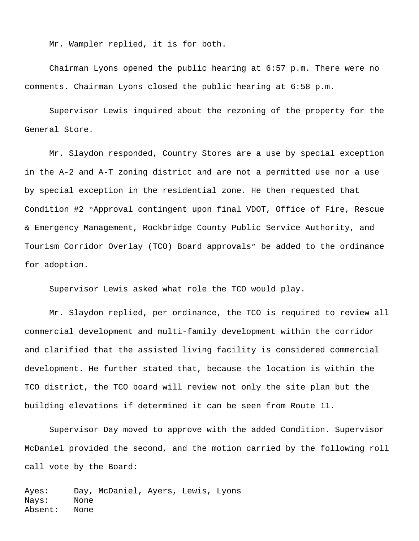Mr. Wampler replied, it is for both.

Chairman Lyons opened the public hearing at 6:57 p.m. There were no comments. Chairman Lyons closed the public hearing at 6:58 p.m.

Supervisor Lewis inquired about the rezoning of the property for the General Store.

Mr. Slaydon responded, Country Stores are a use by special exception in the A-2 and A-T zoning district and are not a permitted use nor a use by special exception in the residential zone. He then requested that Condition #2 "Approval contingent upon final VDOT, Office of Fire, Rescue & Emergency Management, Rockbridge County Public Service Authority, and Tourism Corridor Overlay (TCO) Board approvals" be added to the ordinance for adoption.

Supervisor Lewis asked what role the TCO would play.

Mr. Slaydon replied, per ordinance, the TCO is required to review all commercial development and multi-family development within the corridor and clarified that the assisted living facility is considered commercial development. He further stated that, because the location is within the TCO district, the TCO board will review not only the site plan but the building elevations if determined it can be seen from Route 11.

Supervisor Day moved to approve with the added Condition. Supervisor McDaniel provided the second, and the motion carried by the following roll call vote by the Board:

Ayes: Day, McDaniel, Ayers, Lewis, Lyons Nays: None Absent: None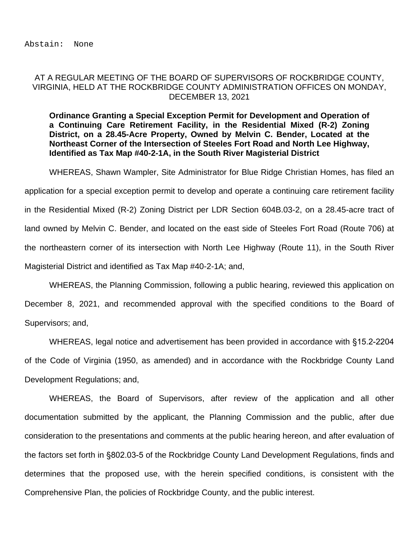## AT A REGULAR MEETING OF THE BOARD OF SUPERVISORS OF ROCKBRIDGE COUNTY, VIRGINIA, HELD AT THE ROCKBRIDGE COUNTY ADMINISTRATION OFFICES ON MONDAY, DECEMBER 13, 2021

**Ordinance Granting a Special Exception Permit for Development and Operation of a Continuing Care Retirement Facility, in the Residential Mixed (R-2) Zoning District, on a 28.45-Acre Property, Owned by Melvin C. Bender, Located at the Northeast Corner of the Intersection of Steeles Fort Road and North Lee Highway, Identified as Tax Map #40-2-1A, in the South River Magisterial District**

WHEREAS, Shawn Wampler, Site Administrator for Blue Ridge Christian Homes, has filed an application for a special exception permit to develop and operate a continuing care retirement facility in the Residential Mixed (R-2) Zoning District per LDR Section 604B.03-2, on a 28.45-acre tract of land owned by Melvin C. Bender, and located on the east side of Steeles Fort Road (Route 706) at the northeastern corner of its intersection with North Lee Highway (Route 11), in the South River Magisterial District and identified as Tax Map #40-2-1A; and,

WHEREAS, the Planning Commission, following a public hearing, reviewed this application on December 8, 2021, and recommended approval with the specified conditions to the Board of Supervisors; and,

WHEREAS, legal notice and advertisement has been provided in accordance with §15.2-2204 of the Code of Virginia (1950, as amended) and in accordance with the Rockbridge County Land Development Regulations; and,

WHEREAS, the Board of Supervisors, after review of the application and all other documentation submitted by the applicant, the Planning Commission and the public, after due consideration to the presentations and comments at the public hearing hereon, and after evaluation of the factors set forth in §802.03-5 of the Rockbridge County Land Development Regulations, finds and determines that the proposed use, with the herein specified conditions, is consistent with the Comprehensive Plan, the policies of Rockbridge County, and the public interest.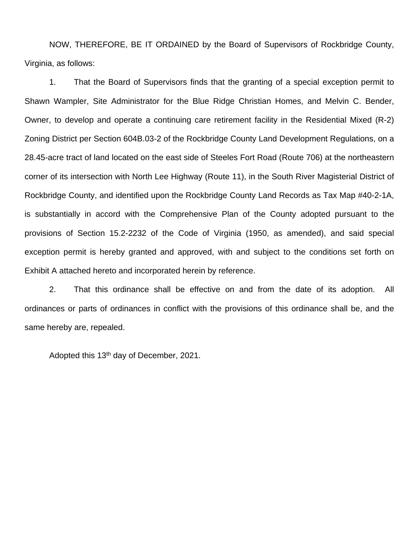NOW, THEREFORE, BE IT ORDAINED by the Board of Supervisors of Rockbridge County, Virginia, as follows:

1. That the Board of Supervisors finds that the granting of a special exception permit to Shawn Wampler, Site Administrator for the Blue Ridge Christian Homes, and Melvin C. Bender, Owner, to develop and operate a continuing care retirement facility in the Residential Mixed (R-2) Zoning District per Section 604B.03-2 of the Rockbridge County Land Development Regulations, on a 28.45-acre tract of land located on the east side of Steeles Fort Road (Route 706) at the northeastern corner of its intersection with North Lee Highway (Route 11), in the South River Magisterial District of Rockbridge County, and identified upon the Rockbridge County Land Records as Tax Map #40-2-1A, is substantially in accord with the Comprehensive Plan of the County adopted pursuant to the provisions of Section 15.2-2232 of the Code of Virginia (1950, as amended), and said special exception permit is hereby granted and approved, with and subject to the conditions set forth on Exhibit A attached hereto and incorporated herein by reference.

2. That this ordinance shall be effective on and from the date of its adoption. All ordinances or parts of ordinances in conflict with the provisions of this ordinance shall be, and the same hereby are, repealed.

Adopted this 13th day of December, 2021.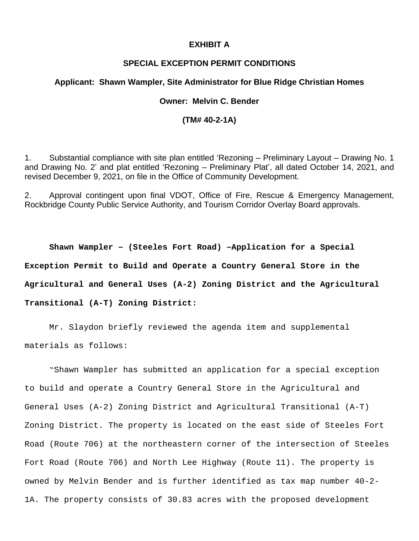## **EXHIBIT A**

## **SPECIAL EXCEPTION PERMIT CONDITIONS**

### **Applicant: Shawn Wampler, Site Administrator for Blue Ridge Christian Homes**

## **Owner: Melvin C. Bender**

## **(TM# 40-2-1A)**

1. Substantial compliance with site plan entitled 'Rezoning – Preliminary Layout – Drawing No. 1 and Drawing No. 2' and plat entitled 'Rezoning – Preliminary Plat', all dated October 14, 2021, and revised December 9, 2021, on file in the Office of Community Development.

2. Approval contingent upon final VDOT, Office of Fire, Rescue & Emergency Management, Rockbridge County Public Service Authority, and Tourism Corridor Overlay Board approvals.

**Shawn Wampler – (Steeles Fort Road) –Application for a Special Exception Permit to Build and Operate a Country General Store in the Agricultural and General Uses (A-2) Zoning District and the Agricultural Transitional (A-T) Zoning District:**

Mr. Slaydon briefly reviewed the agenda item and supplemental materials as follows:

"Shawn Wampler has submitted an application for a special exception to build and operate a Country General Store in the Agricultural and General Uses (A-2) Zoning District and Agricultural Transitional (A-T) Zoning District. The property is located on the east side of Steeles Fort Road (Route 706) at the northeastern corner of the intersection of Steeles Fort Road (Route 706) and North Lee Highway (Route 11). The property is owned by Melvin Bender and is further identified as tax map number 40-2- 1A. The property consists of 30.83 acres with the proposed development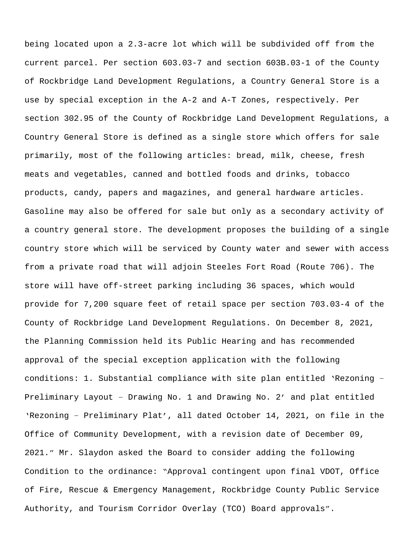being located upon a 2.3-acre lot which will be subdivided off from the current parcel. Per section 603.03-7 and section 603B.03-1 of the County of Rockbridge Land Development Regulations, a Country General Store is a use by special exception in the A-2 and A-T Zones, respectively. Per section 302.95 of the County of Rockbridge Land Development Regulations, a Country General Store is defined as a single store which offers for sale primarily, most of the following articles: bread, milk, cheese, fresh meats and vegetables, canned and bottled foods and drinks, tobacco products, candy, papers and magazines, and general hardware articles. Gasoline may also be offered for sale but only as a secondary activity of a country general store. The development proposes the building of a single country store which will be serviced by County water and sewer with access from a private road that will adjoin Steeles Fort Road (Route 706). The store will have off-street parking including 36 spaces, which would provide for 7,200 square feet of retail space per section 703.03-4 of the County of Rockbridge Land Development Regulations. On December 8, 2021, the Planning Commission held its Public Hearing and has recommended approval of the special exception application with the following conditions: 1. Substantial compliance with site plan entitled 'Rezoning – Preliminary Layout – Drawing No. 1 and Drawing No. 2' and plat entitled 'Rezoning – Preliminary Plat', all dated October 14, 2021, on file in the Office of Community Development, with a revision date of December 09, 2021." Mr. Slaydon asked the Board to consider adding the following Condition to the ordinance: "Approval contingent upon final VDOT, Office of Fire, Rescue & Emergency Management, Rockbridge County Public Service Authority, and Tourism Corridor Overlay (TCO) Board approvals".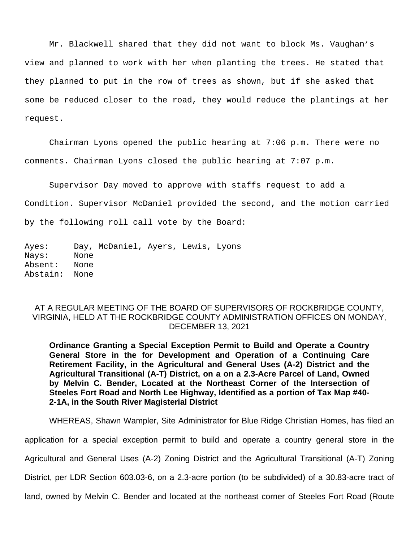Mr. Blackwell shared that they did not want to block Ms. Vaughan's view and planned to work with her when planting the trees. He stated that they planned to put in the row of trees as shown, but if she asked that some be reduced closer to the road, they would reduce the plantings at her request.

Chairman Lyons opened the public hearing at 7:06 p.m. There were no comments. Chairman Lyons closed the public hearing at 7:07 p.m.

Supervisor Day moved to approve with staffs request to add a Condition. Supervisor McDaniel provided the second, and the motion carried by the following roll call vote by the Board:

Ayes: Day, McDaniel, Ayers, Lewis, Lyons Nays: None Absent: None Abstain: None

# AT A REGULAR MEETING OF THE BOARD OF SUPERVISORS OF ROCKBRIDGE COUNTY, VIRGINIA, HELD AT THE ROCKBRIDGE COUNTY ADMINISTRATION OFFICES ON MONDAY, DECEMBER 13, 2021

**Ordinance Granting a Special Exception Permit to Build and Operate a Country General Store in the for Development and Operation of a Continuing Care Retirement Facility, in the Agricultural and General Uses (A-2) District and the Agricultural Transitional (A-T) District, on a on a 2.3-Acre Parcel of Land, Owned by Melvin C. Bender, Located at the Northeast Corner of the Intersection of Steeles Fort Road and North Lee Highway, Identified as a portion of Tax Map #40- 2-1A, in the South River Magisterial District**

WHEREAS, Shawn Wampler, Site Administrator for Blue Ridge Christian Homes, has filed an

application for a special exception permit to build and operate a country general store in the

Agricultural and General Uses (A-2) Zoning District and the Agricultural Transitional (A-T) Zoning

District, per LDR Section 603.03-6, on a 2.3-acre portion (to be subdivided) of a 30.83-acre tract of

land, owned by Melvin C. Bender and located at the northeast corner of Steeles Fort Road (Route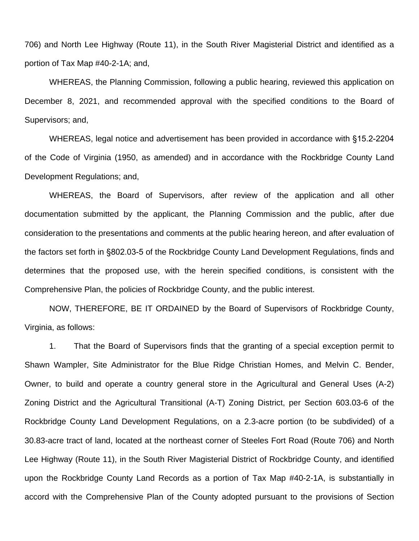706) and North Lee Highway (Route 11), in the South River Magisterial District and identified as a portion of Tax Map #40-2-1A; and,

WHEREAS, the Planning Commission, following a public hearing, reviewed this application on December 8, 2021, and recommended approval with the specified conditions to the Board of Supervisors; and,

WHEREAS, legal notice and advertisement has been provided in accordance with §15.2-2204 of the Code of Virginia (1950, as amended) and in accordance with the Rockbridge County Land Development Regulations; and,

WHEREAS, the Board of Supervisors, after review of the application and all other documentation submitted by the applicant, the Planning Commission and the public, after due consideration to the presentations and comments at the public hearing hereon, and after evaluation of the factors set forth in §802.03-5 of the Rockbridge County Land Development Regulations, finds and determines that the proposed use, with the herein specified conditions, is consistent with the Comprehensive Plan, the policies of Rockbridge County, and the public interest.

NOW, THEREFORE, BE IT ORDAINED by the Board of Supervisors of Rockbridge County, Virginia, as follows:

1. That the Board of Supervisors finds that the granting of a special exception permit to Shawn Wampler, Site Administrator for the Blue Ridge Christian Homes, and Melvin C. Bender, Owner, to build and operate a country general store in the Agricultural and General Uses (A-2) Zoning District and the Agricultural Transitional (A-T) Zoning District, per Section 603.03-6 of the Rockbridge County Land Development Regulations, on a 2.3-acre portion (to be subdivided) of a 30.83-acre tract of land, located at the northeast corner of Steeles Fort Road (Route 706) and North Lee Highway (Route 11), in the South River Magisterial District of Rockbridge County, and identified upon the Rockbridge County Land Records as a portion of Tax Map #40-2-1A, is substantially in accord with the Comprehensive Plan of the County adopted pursuant to the provisions of Section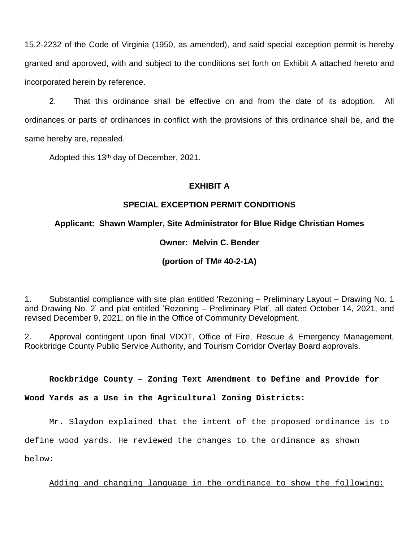15.2-2232 of the Code of Virginia (1950, as amended), and said special exception permit is hereby granted and approved, with and subject to the conditions set forth on Exhibit A attached hereto and incorporated herein by reference.

2. That this ordinance shall be effective on and from the date of its adoption. All ordinances or parts of ordinances in conflict with the provisions of this ordinance shall be, and the same hereby are, repealed.

Adopted this 13<sup>th</sup> day of December, 2021.

# **EXHIBIT A**

# **SPECIAL EXCEPTION PERMIT CONDITIONS**

# **Applicant: Shawn Wampler, Site Administrator for Blue Ridge Christian Homes**

# **Owner: Melvin C. Bender**

# **(portion of TM# 40-2-1A)**

1. Substantial compliance with site plan entitled 'Rezoning – Preliminary Layout – Drawing No. 1 and Drawing No. 2' and plat entitled 'Rezoning – Preliminary Plat', all dated October 14, 2021, and revised December 9, 2021, on file in the Office of Community Development.

2. Approval contingent upon final VDOT, Office of Fire, Rescue & Emergency Management, Rockbridge County Public Service Authority, and Tourism Corridor Overlay Board approvals.

## **Rockbridge County – Zoning Text Amendment to Define and Provide for**

**Wood Yards as a Use in the Agricultural Zoning Districts:**

Mr. Slaydon explained that the intent of the proposed ordinance is to

define wood yards. He reviewed the changes to the ordinance as shown

below:

Adding and changing language in the ordinance to show the following: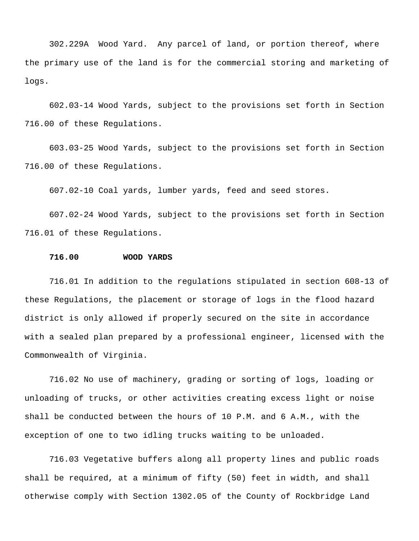302.229A Wood Yard. Any parcel of land, or portion thereof, where the primary use of the land is for the commercial storing and marketing of logs.

602.03-14 Wood Yards, subject to the provisions set forth in Section 716.00 of these Regulations.

603.03-25 Wood Yards, subject to the provisions set forth in Section 716.00 of these Regulations.

607.02-10 Coal yards, lumber yards, feed and seed stores.

607.02-24 Wood Yards, subject to the provisions set forth in Section 716.01 of these Regulations.

#### **716.00 WOOD YARDS**

716.01 In addition to the regulations stipulated in section 608-13 of these Regulations, the placement or storage of logs in the flood hazard district is only allowed if properly secured on the site in accordance with a sealed plan prepared by a professional engineer, licensed with the Commonwealth of Virginia.

716.02 No use of machinery, grading or sorting of logs, loading or unloading of trucks, or other activities creating excess light or noise shall be conducted between the hours of 10 P.M. and 6 A.M., with the exception of one to two idling trucks waiting to be unloaded.

716.03 Vegetative buffers along all property lines and public roads shall be required, at a minimum of fifty (50) feet in width, and shall otherwise comply with Section 1302.05 of the County of Rockbridge Land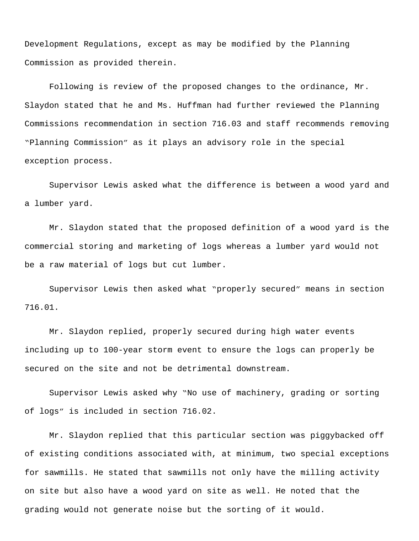Development Regulations, except as may be modified by the Planning Commission as provided therein.

Following is review of the proposed changes to the ordinance, Mr. Slaydon stated that he and Ms. Huffman had further reviewed the Planning Commissions recommendation in section 716.03 and staff recommends removing "Planning Commission" as it plays an advisory role in the special exception process.

Supervisor Lewis asked what the difference is between a wood yard and a lumber yard.

Mr. Slaydon stated that the proposed definition of a wood yard is the commercial storing and marketing of logs whereas a lumber yard would not be a raw material of logs but cut lumber.

Supervisor Lewis then asked what "properly secured" means in section 716.01.

Mr. Slaydon replied, properly secured during high water events including up to 100-year storm event to ensure the logs can properly be secured on the site and not be detrimental downstream.

Supervisor Lewis asked why "No use of machinery, grading or sorting of logs" is included in section 716.02.

Mr. Slaydon replied that this particular section was piggybacked off of existing conditions associated with, at minimum, two special exceptions for sawmills. He stated that sawmills not only have the milling activity on site but also have a wood yard on site as well. He noted that the grading would not generate noise but the sorting of it would.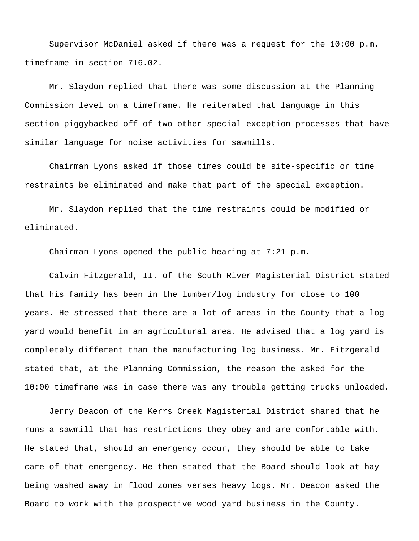Supervisor McDaniel asked if there was a request for the 10:00 p.m. timeframe in section 716.02.

Mr. Slaydon replied that there was some discussion at the Planning Commission level on a timeframe. He reiterated that language in this section piggybacked off of two other special exception processes that have similar language for noise activities for sawmills.

Chairman Lyons asked if those times could be site-specific or time restraints be eliminated and make that part of the special exception.

Mr. Slaydon replied that the time restraints could be modified or eliminated.

Chairman Lyons opened the public hearing at 7:21 p.m.

Calvin Fitzgerald, II. of the South River Magisterial District stated that his family has been in the lumber/log industry for close to 100 years. He stressed that there are a lot of areas in the County that a log yard would benefit in an agricultural area. He advised that a log yard is completely different than the manufacturing log business. Mr. Fitzgerald stated that, at the Planning Commission, the reason the asked for the 10:00 timeframe was in case there was any trouble getting trucks unloaded.

Jerry Deacon of the Kerrs Creek Magisterial District shared that he runs a sawmill that has restrictions they obey and are comfortable with. He stated that, should an emergency occur, they should be able to take care of that emergency. He then stated that the Board should look at hay being washed away in flood zones verses heavy logs. Mr. Deacon asked the Board to work with the prospective wood yard business in the County.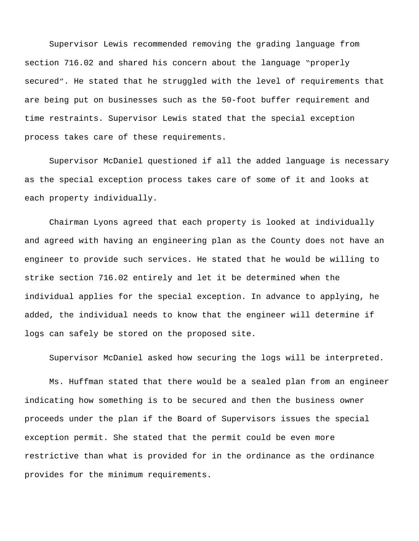Supervisor Lewis recommended removing the grading language from section 716.02 and shared his concern about the language "properly secured". He stated that he struggled with the level of requirements that are being put on businesses such as the 50-foot buffer requirement and time restraints. Supervisor Lewis stated that the special exception process takes care of these requirements.

Supervisor McDaniel questioned if all the added language is necessary as the special exception process takes care of some of it and looks at each property individually.

Chairman Lyons agreed that each property is looked at individually and agreed with having an engineering plan as the County does not have an engineer to provide such services. He stated that he would be willing to strike section 716.02 entirely and let it be determined when the individual applies for the special exception. In advance to applying, he added, the individual needs to know that the engineer will determine if logs can safely be stored on the proposed site.

Supervisor McDaniel asked how securing the logs will be interpreted.

Ms. Huffman stated that there would be a sealed plan from an engineer indicating how something is to be secured and then the business owner proceeds under the plan if the Board of Supervisors issues the special exception permit. She stated that the permit could be even more restrictive than what is provided for in the ordinance as the ordinance provides for the minimum requirements.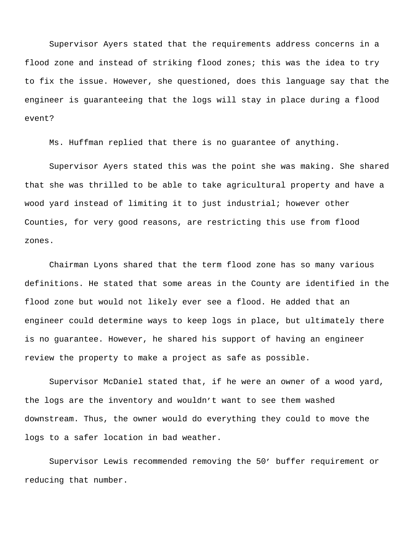Supervisor Ayers stated that the requirements address concerns in a flood zone and instead of striking flood zones; this was the idea to try to fix the issue. However, she questioned, does this language say that the engineer is guaranteeing that the logs will stay in place during a flood event?

Ms. Huffman replied that there is no guarantee of anything.

Supervisor Ayers stated this was the point she was making. She shared that she was thrilled to be able to take agricultural property and have a wood yard instead of limiting it to just industrial; however other Counties, for very good reasons, are restricting this use from flood zones.

Chairman Lyons shared that the term flood zone has so many various definitions. He stated that some areas in the County are identified in the flood zone but would not likely ever see a flood. He added that an engineer could determine ways to keep logs in place, but ultimately there is no guarantee. However, he shared his support of having an engineer review the property to make a project as safe as possible.

Supervisor McDaniel stated that, if he were an owner of a wood yard, the logs are the inventory and wouldn't want to see them washed downstream. Thus, the owner would do everything they could to move the logs to a safer location in bad weather.

Supervisor Lewis recommended removing the 50' buffer requirement or reducing that number.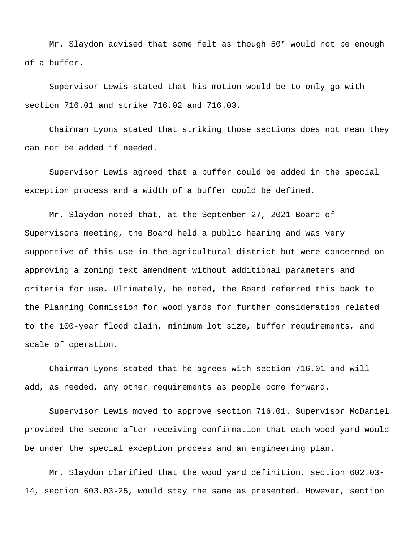Mr. Slaydon advised that some felt as though 50' would not be enough of a buffer.

Supervisor Lewis stated that his motion would be to only go with section 716.01 and strike 716.02 and 716.03.

Chairman Lyons stated that striking those sections does not mean they can not be added if needed.

Supervisor Lewis agreed that a buffer could be added in the special exception process and a width of a buffer could be defined.

Mr. Slaydon noted that, at the September 27, 2021 Board of Supervisors meeting, the Board held a public hearing and was very supportive of this use in the agricultural district but were concerned on approving a zoning text amendment without additional parameters and criteria for use. Ultimately, he noted, the Board referred this back to the Planning Commission for wood yards for further consideration related to the 100-year flood plain, minimum lot size, buffer requirements, and scale of operation.

Chairman Lyons stated that he agrees with section 716.01 and will add, as needed, any other requirements as people come forward.

Supervisor Lewis moved to approve section 716.01. Supervisor McDaniel provided the second after receiving confirmation that each wood yard would be under the special exception process and an engineering plan.

Mr. Slaydon clarified that the wood yard definition, section 602.03- 14, section 603.03-25, would stay the same as presented. However, section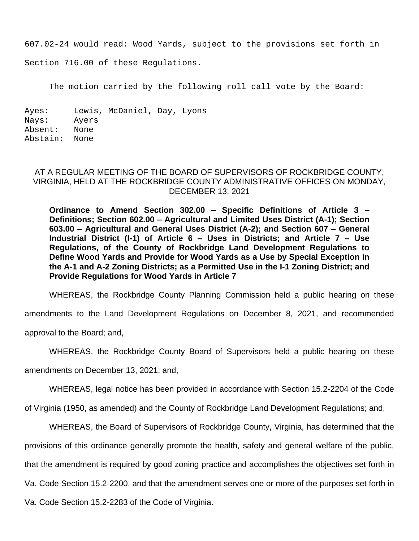607.02-24 would read: Wood Yards, subject to the provisions set forth in

Section 716.00 of these Regulations.

The motion carried by the following roll call vote by the Board:

Ayes: Lewis, McDaniel, Day, Lyons Nays: Ayers Absent: None Abstain: None

## AT A REGULAR MEETING OF THE BOARD OF SUPERVISORS OF ROCKBRIDGE COUNTY, VIRGINIA, HELD AT THE ROCKBRIDGE COUNTY ADMINISTRATIVE OFFICES ON MONDAY, DECEMBER 13, 2021

**Ordinance to Amend Section 302.00 – Specific Definitions of Article 3 – Definitions; Section 602.00 – Agricultural and Limited Uses District (A-1); Section 603.00 – Agricultural and General Uses District (A-2); and Section 607 – General Industrial District (I-1) of Article 6 – Uses in Districts; and Article 7 – Use Regulations, of the County of Rockbridge Land Development Regulations to Define Wood Yards and Provide for Wood Yards as a Use by Special Exception in the A-1 and A-2 Zoning Districts; as a Permitted Use in the I-1 Zoning District; and Provide Regulations for Wood Yards in Article 7**

WHEREAS, the Rockbridge County Planning Commission held a public hearing on these

amendments to the Land Development Regulations on December 8, 2021, and recommended

approval to the Board; and,

WHEREAS, the Rockbridge County Board of Supervisors held a public hearing on these

amendments on December 13, 2021; and,

WHEREAS, legal notice has been provided in accordance with Section 15.2-2204 of the Code

of Virginia (1950, as amended) and the County of Rockbridge Land Development Regulations; and,

WHEREAS, the Board of Supervisors of Rockbridge County, Virginia, has determined that the provisions of this ordinance generally promote the health, safety and general welfare of the public, that the amendment is required by good zoning practice and accomplishes the objectives set forth in Va. Code Section 15.2-2200, and that the amendment serves one or more of the purposes set forth in Va. Code Section 15.2-2283 of the Code of Virginia.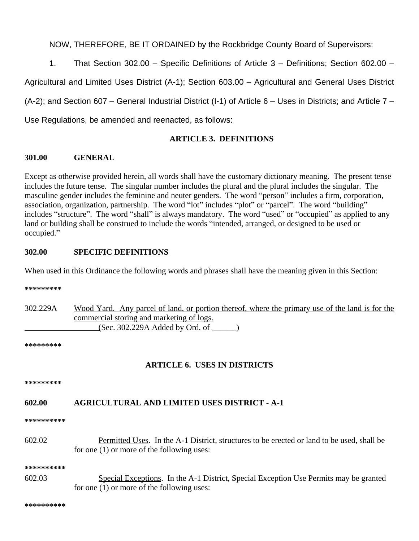NOW, THEREFORE, BE IT ORDAINED by the Rockbridge County Board of Supervisors:

1. That Section 302.00 – Specific Definitions of Article 3 – Definitions; Section 602.00 –

Agricultural and Limited Uses District (A-1); Section 603.00 – Agricultural and General Uses District

(A-2); and Section 607 – General Industrial District (I-1) of Article 6 – Uses in Districts; and Article 7 –

Use Regulations, be amended and reenacted, as follows:

# **ARTICLE 3. DEFINITIONS**

# **301.00 GENERAL**

Except as otherwise provided herein, all words shall have the customary dictionary meaning. The present tense includes the future tense. The singular number includes the plural and the plural includes the singular. The masculine gender includes the feminine and neuter genders. The word "person" includes a firm, corporation, association, organization, partnership. The word "lot" includes "plot" or "parcel". The word "building" includes "structure". The word "shall" is always mandatory. The word "used" or "occupied" as applied to any land or building shall be construed to include the words "intended, arranged, or designed to be used or occupied."

# **302.00 SPECIFIC DEFINITIONS**

When used in this Ordinance the following words and phrases shall have the meaning given in this Section:

**\*\*\*\*\*\*\*\*\***

302.229A Wood Yard. Any parcel of land, or portion thereof, where the primary use of the land is for the commercial storing and marketing of logs. (Sec. 302.229A Added by Ord. of \_\_\_\_\_\_)

**\*\*\*\*\*\*\*\*\***

# **ARTICLE 6. USES IN DISTRICTS**

**\*\*\*\*\*\*\*\*\***

# **602.00 AGRICULTURAL AND LIMITED USES DISTRICT - A-1**

**\*\*\*\*\*\*\*\*\*\***

602.02 Permitted Uses. In the A-1 District, structures to be erected or land to be used, shall be for one (1) or more of the following uses:

**\*\*\*\*\*\*\*\*\*\***

602.03 Special Exceptions. In the A-1 District, Special Exception Use Permits may be granted for one (1) or more of the following uses:

**\*\*\*\*\*\*\*\*\*\***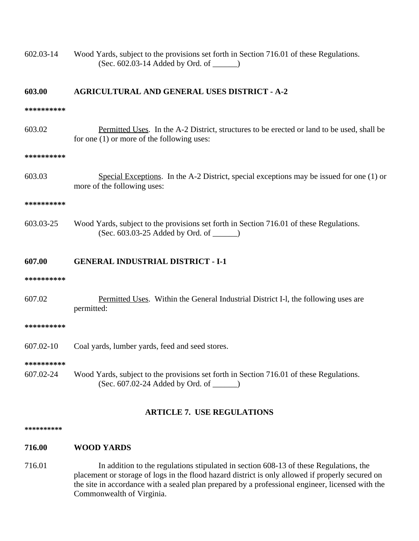602.03-14 Wood Yards, subject to the provisions set forth in Section 716.01 of these Regulations. (Sec. 602.03-14 Added by Ord. of \_\_\_\_\_\_)

## **603.00 AGRICULTURAL AND GENERAL USES DISTRICT - A-2**

#### **\*\*\*\*\*\*\*\*\*\***

603.02 Permitted Uses. In the A-2 District, structures to be erected or land to be used, shall be for one (1) or more of the following uses:

#### **\*\*\*\*\*\*\*\*\*\***

603.03 Special Exceptions. In the A-2 District, special exceptions may be issued for one (1) or more of the following uses:

#### **\*\*\*\*\*\*\*\*\*\***

603.03-25 Wood Yards, subject to the provisions set forth in Section 716.01 of these Regulations. (Sec. 603.03-25 Added by Ord. of \_\_\_\_\_\_)

## **607.00 GENERAL INDUSTRIAL DISTRICT - I-1**

#### **\*\*\*\*\*\*\*\*\*\***

607.02 Permitted Uses. Within the General Industrial District I-l, the following uses are permitted:

#### **\*\*\*\*\*\*\*\*\*\***

607.02-10 Coal yards, lumber yards, feed and seed stores.

#### **\*\*\*\*\*\*\*\*\*\***

607.02-24 Wood Yards, subject to the provisions set forth in Section 716.01 of these Regulations. (Sec. 607.02-24 Added by Ord. of \_\_\_\_\_\_)

## **ARTICLE 7. USE REGULATIONS**

#### **\*\*\*\*\*\*\*\*\*\***

#### **716.00 WOOD YARDS**

716.01 In addition to the regulations stipulated in section 608-13 of these Regulations, the placement or storage of logs in the flood hazard district is only allowed if properly secured on the site in accordance with a sealed plan prepared by a professional engineer, licensed with the Commonwealth of Virginia.